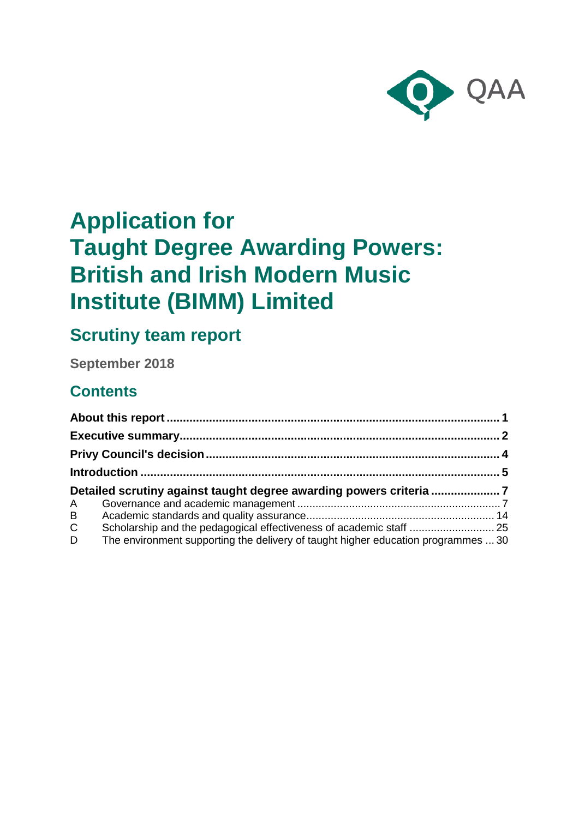

# **Application for Taught Degree Awarding Powers: British and Irish Modern Music Institute (BIMM) Limited**

# **Scrutiny team report**

**September 2018**

# **Contents**

| Detailed scrutiny against taught degree awarding powers criteria |                                                                                   |  |
|------------------------------------------------------------------|-----------------------------------------------------------------------------------|--|
|                                                                  |                                                                                   |  |
| A<br>B                                                           |                                                                                   |  |
| $\mathsf{C}$                                                     |                                                                                   |  |
| D                                                                | The environment supporting the delivery of taught higher education programmes  30 |  |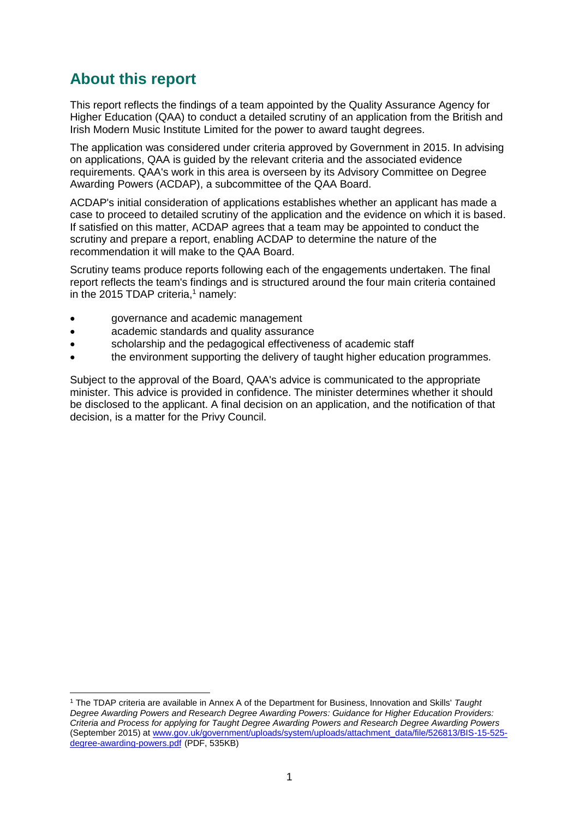# <span id="page-1-0"></span>**About this report**

-

This report reflects the findings of a team appointed by the Quality Assurance Agency for Higher Education (QAA) to conduct a detailed scrutiny of an application from the British and Irish Modern Music Institute Limited for the power to award taught degrees.

The application was considered under criteria approved by Government in 2015. In advising on applications, QAA is guided by the relevant criteria and the associated evidence requirements. QAA's work in this area is overseen by its Advisory Committee on Degree Awarding Powers (ACDAP), a subcommittee of the QAA Board.

ACDAP's initial consideration of applications establishes whether an applicant has made a case to proceed to detailed scrutiny of the application and the evidence on which it is based. If satisfied on this matter, ACDAP agrees that a team may be appointed to conduct the scrutiny and prepare a report, enabling ACDAP to determine the nature of the recommendation it will make to the QAA Board.

Scrutiny teams produce reports following each of the engagements undertaken. The final report reflects the team's findings and is structured around the four main criteria contained in the 2015 TDAP criteria, $1$  namely:

- governance and academic management
- academic standards and quality assurance
- scholarship and the pedagogical effectiveness of academic staff
- the environment supporting the delivery of taught higher education programmes.

Subject to the approval of the Board, QAA's advice is communicated to the appropriate minister. This advice is provided in confidence. The minister determines whether it should be disclosed to the applicant. A final decision on an application, and the notification of that decision, is a matter for the Privy Council.

<sup>1</sup> The TDAP criteria are available in Annex A of the Department for Business, Innovation and Skills' *Taught Degree Awarding Powers and Research Degree Awarding Powers: Guidance for Higher Education Providers: Criteria and Process for applying for Taught Degree Awarding Powers and Research Degree Awarding Powers*  (September 2015) at [www.gov.uk/government/uploads/system/uploads/attachment\\_data/file/526813/BIS-15-525](http://www.gov.uk/government/uploads/system/uploads/attachment_data/file/526813/BIS-15-525-degree-awarding-powers.pdf) [degree-awarding-powers.pdf](http://www.gov.uk/government/uploads/system/uploads/attachment_data/file/526813/BIS-15-525-degree-awarding-powers.pdf) (PDF, 535KB)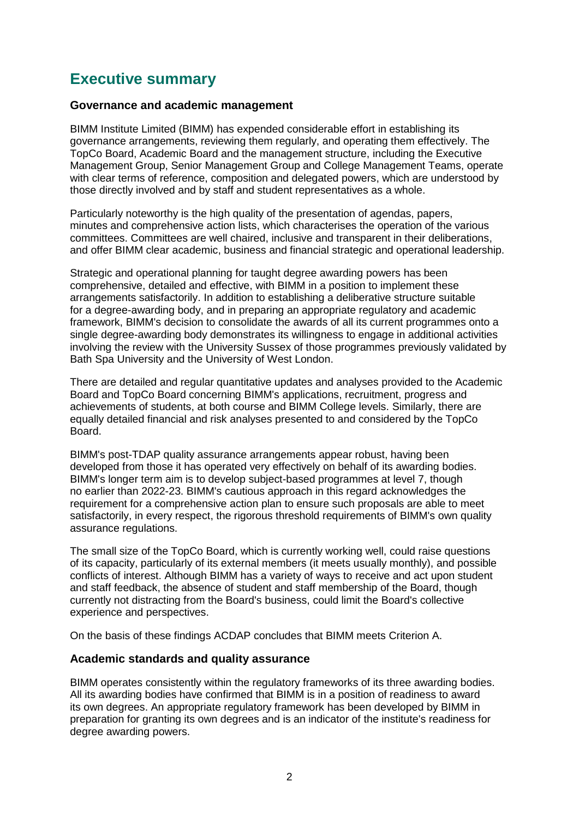# <span id="page-2-0"></span>**Executive summary**

#### **Governance and academic management**

BIMM Institute Limited (BIMM) has expended considerable effort in establishing its governance arrangements, reviewing them regularly, and operating them effectively. The TopCo Board, Academic Board and the management structure, including the Executive Management Group, Senior Management Group and College Management Teams, operate with clear terms of reference, composition and delegated powers, which are understood by those directly involved and by staff and student representatives as a whole.

Particularly noteworthy is the high quality of the presentation of agendas, papers, minutes and comprehensive action lists, which characterises the operation of the various committees. Committees are well chaired, inclusive and transparent in their deliberations, and offer BIMM clear academic, business and financial strategic and operational leadership.

Strategic and operational planning for taught degree awarding powers has been comprehensive, detailed and effective, with BIMM in a position to implement these arrangements satisfactorily. In addition to establishing a deliberative structure suitable for a degree-awarding body, and in preparing an appropriate regulatory and academic framework, BIMM's decision to consolidate the awards of all its current programmes onto a single degree-awarding body demonstrates its willingness to engage in additional activities involving the review with the University Sussex of those programmes previously validated by Bath Spa University and the University of West London.

There are detailed and regular quantitative updates and analyses provided to the Academic Board and TopCo Board concerning BIMM's applications, recruitment, progress and achievements of students, at both course and BIMM College levels. Similarly, there are equally detailed financial and risk analyses presented to and considered by the TopCo Board.

BIMM's post-TDAP quality assurance arrangements appear robust, having been developed from those it has operated very effectively on behalf of its awarding bodies. BIMM's longer term aim is to develop subject-based programmes at level 7, though no earlier than 2022-23. BIMM's cautious approach in this regard acknowledges the requirement for a comprehensive action plan to ensure such proposals are able to meet satisfactorily, in every respect, the rigorous threshold requirements of BIMM's own quality assurance regulations.

The small size of the TopCo Board, which is currently working well, could raise questions of its capacity, particularly of its external members (it meets usually monthly), and possible conflicts of interest. Although BIMM has a variety of ways to receive and act upon student and staff feedback, the absence of student and staff membership of the Board, though currently not distracting from the Board's business, could limit the Board's collective experience and perspectives.

On the basis of these findings ACDAP concludes that BIMM meets Criterion A.

#### **Academic standards and quality assurance**

BIMM operates consistently within the regulatory frameworks of its three awarding bodies. All its awarding bodies have confirmed that BIMM is in a position of readiness to award its own degrees. An appropriate regulatory framework has been developed by BIMM in preparation for granting its own degrees and is an indicator of the institute's readiness for degree awarding powers.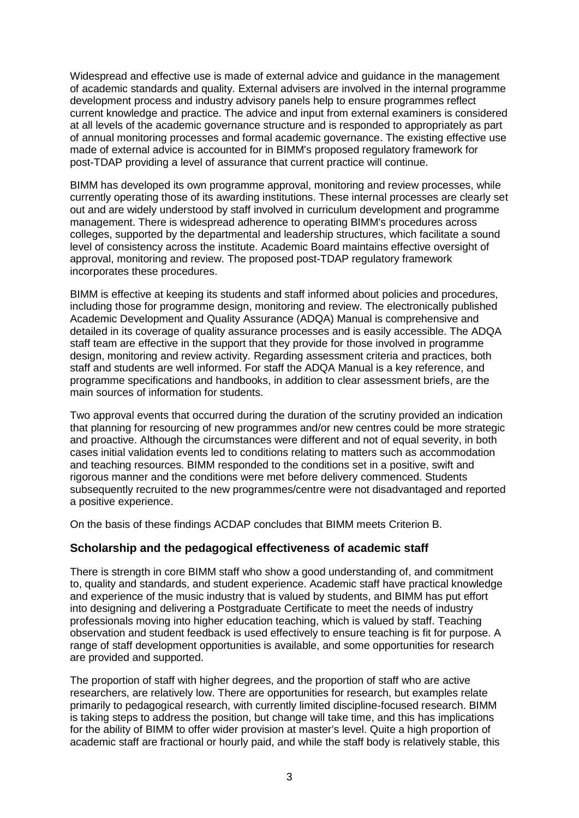Widespread and effective use is made of external advice and guidance in the management of academic standards and quality. External advisers are involved in the internal programme development process and industry advisory panels help to ensure programmes reflect current knowledge and practice. The advice and input from external examiners is considered at all levels of the academic governance structure and is responded to appropriately as part of annual monitoring processes and formal academic governance. The existing effective use made of external advice is accounted for in BIMM's proposed regulatory framework for post-TDAP providing a level of assurance that current practice will continue.

BIMM has developed its own programme approval, monitoring and review processes, while currently operating those of its awarding institutions. These internal processes are clearly set out and are widely understood by staff involved in curriculum development and programme management. There is widespread adherence to operating BIMM's procedures across colleges, supported by the departmental and leadership structures, which facilitate a sound level of consistency across the institute. Academic Board maintains effective oversight of approval, monitoring and review. The proposed post-TDAP regulatory framework incorporates these procedures.

BIMM is effective at keeping its students and staff informed about policies and procedures, including those for programme design, monitoring and review. The electronically published Academic Development and Quality Assurance (ADQA) Manual is comprehensive and detailed in its coverage of quality assurance processes and is easily accessible. The ADQA staff team are effective in the support that they provide for those involved in programme design, monitoring and review activity. Regarding assessment criteria and practices, both staff and students are well informed. For staff the ADQA Manual is a key reference, and programme specifications and handbooks, in addition to clear assessment briefs, are the main sources of information for students.

Two approval events that occurred during the duration of the scrutiny provided an indication that planning for resourcing of new programmes and/or new centres could be more strategic and proactive. Although the circumstances were different and not of equal severity, in both cases initial validation events led to conditions relating to matters such as accommodation and teaching resources. BIMM responded to the conditions set in a positive, swift and rigorous manner and the conditions were met before delivery commenced. Students subsequently recruited to the new programmes/centre were not disadvantaged and reported a positive experience.

On the basis of these findings ACDAP concludes that BIMM meets Criterion B.

#### **Scholarship and the pedagogical effectiveness of academic staff**

There is strength in core BIMM staff who show a good understanding of, and commitment to, quality and standards, and student experience. Academic staff have practical knowledge and experience of the music industry that is valued by students, and BIMM has put effort into designing and delivering a Postgraduate Certificate to meet the needs of industry professionals moving into higher education teaching, which is valued by staff. Teaching observation and student feedback is used effectively to ensure teaching is fit for purpose. A range of staff development opportunities is available, and some opportunities for research are provided and supported.

The proportion of staff with higher degrees, and the proportion of staff who are active researchers, are relatively low. There are opportunities for research, but examples relate primarily to pedagogical research, with currently limited discipline-focused research. BIMM is taking steps to address the position, but change will take time, and this has implications for the ability of BIMM to offer wider provision at master's level. Quite a high proportion of academic staff are fractional or hourly paid, and while the staff body is relatively stable, this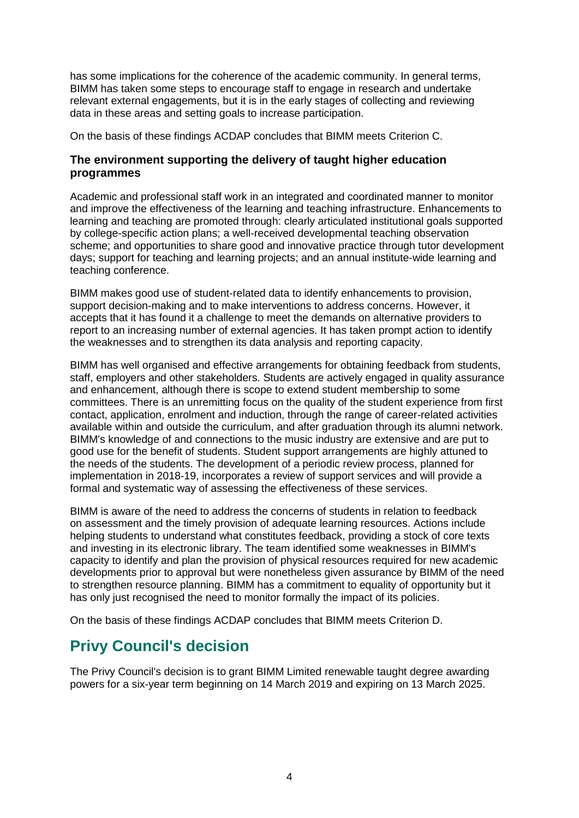has some implications for the coherence of the academic community. In general terms, BIMM has taken some steps to encourage staff to engage in research and undertake relevant external engagements, but it is in the early stages of collecting and reviewing data in these areas and setting goals to increase participation.

On the basis of these findings ACDAP concludes that BIMM meets Criterion C.

#### **The environment supporting the delivery of taught higher education programmes**

Academic and professional staff work in an integrated and coordinated manner to monitor and improve the effectiveness of the learning and teaching infrastructure. Enhancements to learning and teaching are promoted through: clearly articulated institutional goals supported by college-specific action plans; a well-received developmental teaching observation scheme; and opportunities to share good and innovative practice through tutor development days; support for teaching and learning projects; and an annual institute-wide learning and teaching conference.

BIMM makes good use of student-related data to identify enhancements to provision, support decision-making and to make interventions to address concerns. However, it accepts that it has found it a challenge to meet the demands on alternative providers to report to an increasing number of external agencies. It has taken prompt action to identify the weaknesses and to strengthen its data analysis and reporting capacity.

BIMM has well organised and effective arrangements for obtaining feedback from students, staff, employers and other stakeholders. Students are actively engaged in quality assurance and enhancement, although there is scope to extend student membership to some committees. There is an unremitting focus on the quality of the student experience from first contact, application, enrolment and induction, through the range of career-related activities available within and outside the curriculum, and after graduation through its alumni network. BIMM's knowledge of and connections to the music industry are extensive and are put to good use for the benefit of students. Student support arrangements are highly attuned to the needs of the students. The development of a periodic review process, planned for implementation in 2018-19, incorporates a review of support services and will provide a formal and systematic way of assessing the effectiveness of these services.

BIMM is aware of the need to address the concerns of students in relation to feedback on assessment and the timely provision of adequate learning resources. Actions include helping students to understand what constitutes feedback, providing a stock of core texts and investing in its electronic library. The team identified some weaknesses in BIMM's capacity to identify and plan the provision of physical resources required for new academic developments prior to approval but were nonetheless given assurance by BIMM of the need to strengthen resource planning. BIMM has a commitment to equality of opportunity but it has only just recognised the need to monitor formally the impact of its policies.

On the basis of these findings ACDAP concludes that BIMM meets Criterion D.

# <span id="page-4-0"></span>**Privy Council's decision**

The Privy Council's decision is to grant BIMM Limited renewable taught degree awarding powers for a six-year term beginning on 14 March 2019 and expiring on 13 March 2025.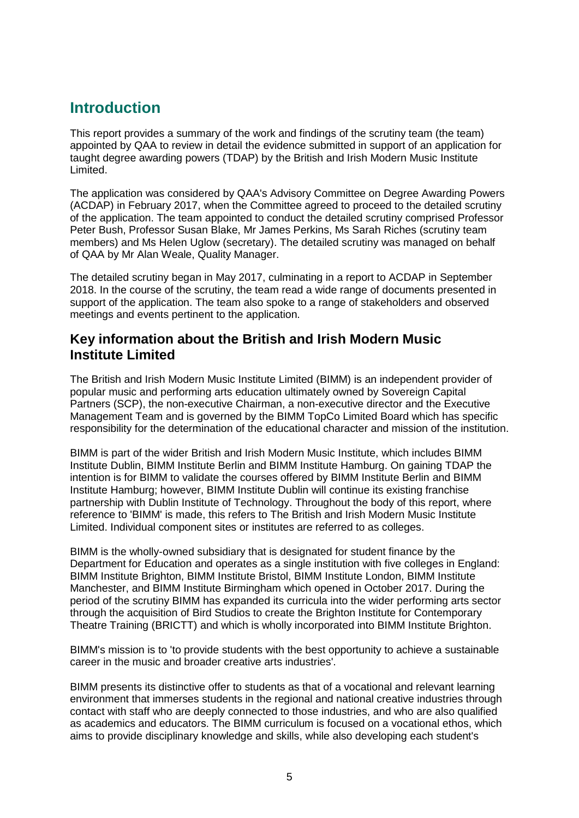# <span id="page-5-0"></span>**Introduction**

This report provides a summary of the work and findings of the scrutiny team (the team) appointed by QAA to review in detail the evidence submitted in support of an application for taught degree awarding powers (TDAP) by the British and Irish Modern Music Institute Limited.

The application was considered by QAA's Advisory Committee on Degree Awarding Powers (ACDAP) in February 2017, when the Committee agreed to proceed to the detailed scrutiny of the application. The team appointed to conduct the detailed scrutiny comprised Professor Peter Bush, Professor Susan Blake, Mr James Perkins, Ms Sarah Riches (scrutiny team members) and Ms Helen Uglow (secretary). The detailed scrutiny was managed on behalf of QAA by Mr Alan Weale, Quality Manager.

The detailed scrutiny began in May 2017, culminating in a report to ACDAP in September 2018. In the course of the scrutiny, the team read a wide range of documents presented in support of the application. The team also spoke to a range of stakeholders and observed meetings and events pertinent to the application.

### **Key information about the British and Irish Modern Music Institute Limited**

The British and Irish Modern Music Institute Limited (BIMM) is an independent provider of popular music and performing arts education ultimately owned by Sovereign Capital Partners (SCP), the non-executive Chairman, a non-executive director and the Executive Management Team and is governed by the BIMM TopCo Limited Board which has specific responsibility for the determination of the educational character and mission of the institution.

BIMM is part of the wider British and Irish Modern Music Institute, which includes BIMM Institute Dublin, BIMM Institute Berlin and BIMM Institute Hamburg. On gaining TDAP the intention is for BIMM to validate the courses offered by BIMM Institute Berlin and BIMM Institute Hamburg; however, BIMM Institute Dublin will continue its existing franchise partnership with Dublin Institute of Technology. Throughout the body of this report, where reference to 'BIMM' is made, this refers to The British and Irish Modern Music Institute Limited. Individual component sites or institutes are referred to as colleges.

BIMM is the wholly-owned subsidiary that is designated for student finance by the Department for Education and operates as a single institution with five colleges in England: BIMM Institute Brighton, BIMM Institute Bristol, BIMM Institute London, BIMM Institute Manchester, and BIMM Institute Birmingham which opened in October 2017. During the period of the scrutiny BIMM has expanded its curricula into the wider performing arts sector through the acquisition of Bird Studios to create the Brighton Institute for Contemporary Theatre Training (BRICTT) and which is wholly incorporated into BIMM Institute Brighton.

BIMM's mission is to 'to provide students with the best opportunity to achieve a sustainable career in the music and broader creative arts industries'.

BIMM presents its distinctive offer to students as that of a vocational and relevant learning environment that immerses students in the regional and national creative industries through contact with staff who are deeply connected to those industries, and who are also qualified as academics and educators. The BIMM curriculum is focused on a vocational ethos, which aims to provide disciplinary knowledge and skills, while also developing each student's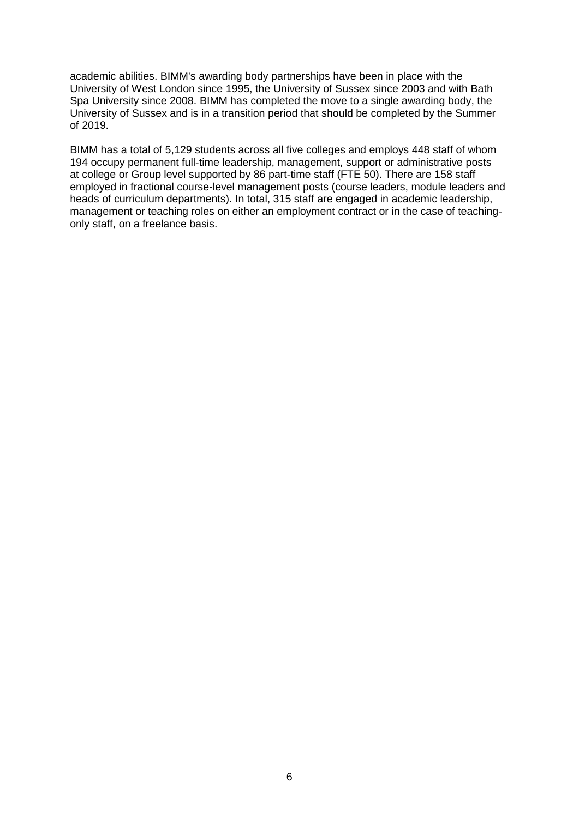academic abilities. BIMM's awarding body partnerships have been in place with the University of West London since 1995, the University of Sussex since 2003 and with Bath Spa University since 2008. BIMM has completed the move to a single awarding body, the University of Sussex and is in a transition period that should be completed by the Summer of 2019.

BIMM has a total of 5,129 students across all five colleges and employs 448 staff of whom 194 occupy permanent full-time leadership, management, support or administrative posts at college or Group level supported by 86 part-time staff (FTE 50). There are 158 staff employed in fractional course-level management posts (course leaders, module leaders and heads of curriculum departments). In total, 315 staff are engaged in academic leadership, management or teaching roles on either an employment contract or in the case of teachingonly staff, on a freelance basis.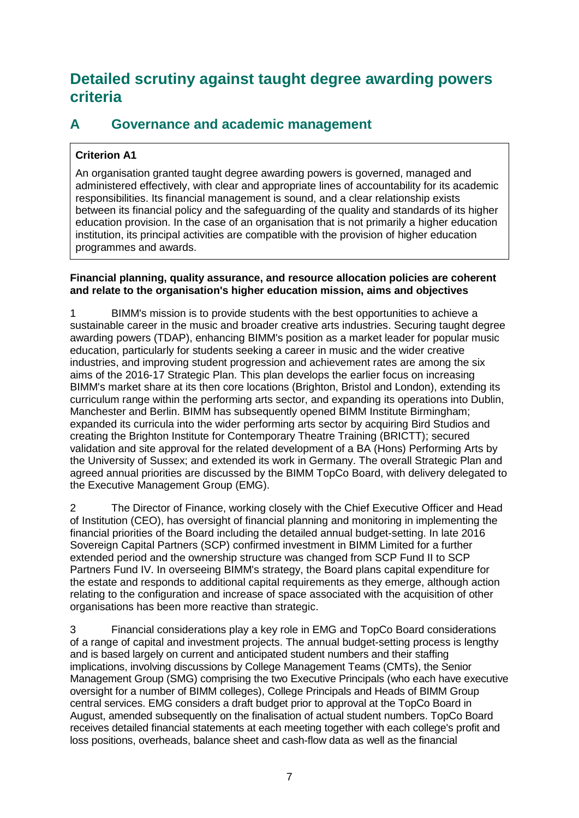# <span id="page-7-0"></span>**Detailed scrutiny against taught degree awarding powers criteria**

# <span id="page-7-1"></span>**A Governance and academic management**

### **Criterion A1**

An organisation granted taught degree awarding powers is governed, managed and administered effectively, with clear and appropriate lines of accountability for its academic responsibilities. Its financial management is sound, and a clear relationship exists between its financial policy and the safeguarding of the quality and standards of its higher education provision. In the case of an organisation that is not primarily a higher education institution, its principal activities are compatible with the provision of higher education programmes and awards.

#### **Financial planning, quality assurance, and resource allocation policies are coherent and relate to the organisation's higher education mission, aims and objectives**

1 BIMM's mission is to provide students with the best opportunities to achieve a sustainable career in the music and broader creative arts industries. Securing taught degree awarding powers (TDAP), enhancing BIMM's position as a market leader for popular music education, particularly for students seeking a career in music and the wider creative industries, and improving student progression and achievement rates are among the six aims of the 2016-17 Strategic Plan. This plan develops the earlier focus on increasing BIMM's market share at its then core locations (Brighton, Bristol and London), extending its curriculum range within the performing arts sector, and expanding its operations into Dublin, Manchester and Berlin. BIMM has subsequently opened BIMM Institute Birmingham; expanded its curricula into the wider performing arts sector by acquiring Bird Studios and creating the Brighton Institute for Contemporary Theatre Training (BRICTT); secured validation and site approval for the related development of a BA (Hons) Performing Arts by the University of Sussex; and extended its work in Germany. The overall Strategic Plan and agreed annual priorities are discussed by the BIMM TopCo Board, with delivery delegated to the Executive Management Group (EMG).

2 The Director of Finance, working closely with the Chief Executive Officer and Head of Institution (CEO), has oversight of financial planning and monitoring in implementing the financial priorities of the Board including the detailed annual budget-setting. In late 2016 Sovereign Capital Partners (SCP) confirmed investment in BIMM Limited for a further extended period and the ownership structure was changed from SCP Fund II to SCP Partners Fund IV. In overseeing BIMM's strategy, the Board plans capital expenditure for the estate and responds to additional capital requirements as they emerge, although action relating to the configuration and increase of space associated with the acquisition of other organisations has been more reactive than strategic.

3 Financial considerations play a key role in EMG and TopCo Board considerations of a range of capital and investment projects. The annual budget-setting process is lengthy and is based largely on current and anticipated student numbers and their staffing implications, involving discussions by College Management Teams (CMTs), the Senior Management Group (SMG) comprising the two Executive Principals (who each have executive oversight for a number of BIMM colleges), College Principals and Heads of BIMM Group central services. EMG considers a draft budget prior to approval at the TopCo Board in August, amended subsequently on the finalisation of actual student numbers. TopCo Board receives detailed financial statements at each meeting together with each college's profit and loss positions, overheads, balance sheet and cash-flow data as well as the financial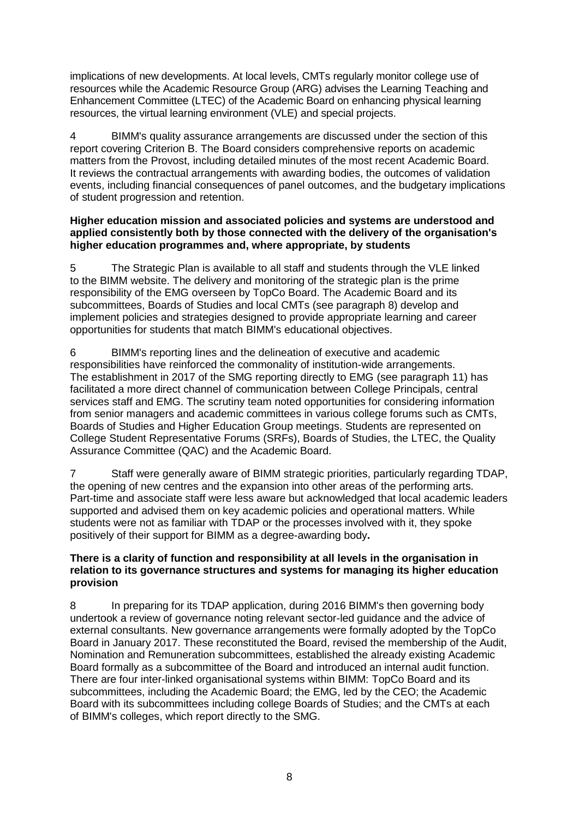implications of new developments. At local levels, CMTs regularly monitor college use of resources while the Academic Resource Group (ARG) advises the Learning Teaching and Enhancement Committee (LTEC) of the Academic Board on enhancing physical learning resources, the virtual learning environment (VLE) and special projects.

4 BIMM's quality assurance arrangements are discussed under the section of this report covering Criterion B. The Board considers comprehensive reports on academic matters from the Provost, including detailed minutes of the most recent Academic Board. It reviews the contractual arrangements with awarding bodies, the outcomes of validation events, including financial consequences of panel outcomes, and the budgetary implications of student progression and retention.

#### **Higher education mission and associated policies and systems are understood and applied consistently both by those connected with the delivery of the organisation's higher education programmes and, where appropriate, by students**

5 The Strategic Plan is available to all staff and students through the VLE linked to the BIMM website. The delivery and monitoring of the strategic plan is the prime responsibility of the EMG overseen by TopCo Board. The Academic Board and its subcommittees, Boards of Studies and local CMTs (see paragraph 8) develop and implement policies and strategies designed to provide appropriate learning and career opportunities for students that match BIMM's educational objectives.

6 BIMM's reporting lines and the delineation of executive and academic responsibilities have reinforced the commonality of institution-wide arrangements. The establishment in 2017 of the SMG reporting directly to EMG (see paragraph 11) has facilitated a more direct channel of communication between College Principals, central services staff and EMG. The scrutiny team noted opportunities for considering information from senior managers and academic committees in various college forums such as CMTs, Boards of Studies and Higher Education Group meetings. Students are represented on College Student Representative Forums (SRFs), Boards of Studies, the LTEC, the Quality Assurance Committee (QAC) and the Academic Board.

7 Staff were generally aware of BIMM strategic priorities, particularly regarding TDAP, the opening of new centres and the expansion into other areas of the performing arts. Part-time and associate staff were less aware but acknowledged that local academic leaders supported and advised them on key academic policies and operational matters. While students were not as familiar with TDAP or the processes involved with it, they spoke positively of their support for BIMM as a degree-awarding body**.** 

#### **There is a clarity of function and responsibility at all levels in the organisation in relation to its governance structures and systems for managing its higher education provision**

8 In preparing for its TDAP application, during 2016 BIMM's then governing body undertook a review of governance noting relevant sector-led guidance and the advice of external consultants. New governance arrangements were formally adopted by the TopCo Board in January 2017. These reconstituted the Board, revised the membership of the Audit, Nomination and Remuneration subcommittees, established the already existing Academic Board formally as a subcommittee of the Board and introduced an internal audit function. There are four inter-linked organisational systems within BIMM: TopCo Board and its subcommittees, including the Academic Board; the EMG, led by the CEO; the Academic Board with its subcommittees including college Boards of Studies; and the CMTs at each of BIMM's colleges, which report directly to the SMG.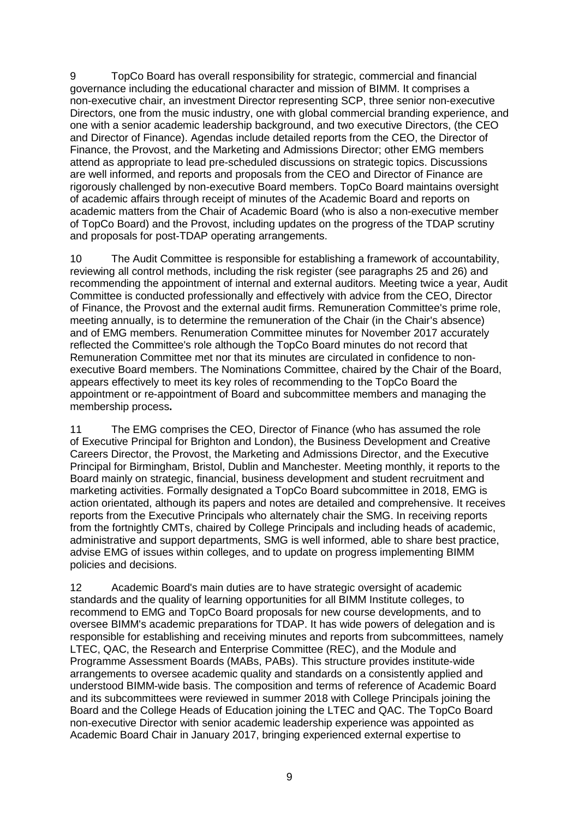9 TopCo Board has overall responsibility for strategic, commercial and financial governance including the educational character and mission of BIMM. It comprises a non-executive chair, an investment Director representing SCP, three senior non-executive Directors, one from the music industry, one with global commercial branding experience, and one with a senior academic leadership background, and two executive Directors, (the CEO and Director of Finance). Agendas include detailed reports from the CEO, the Director of Finance, the Provost, and the Marketing and Admissions Director; other EMG members attend as appropriate to lead pre-scheduled discussions on strategic topics. Discussions are well informed, and reports and proposals from the CEO and Director of Finance are rigorously challenged by non-executive Board members. TopCo Board maintains oversight of academic affairs through receipt of minutes of the Academic Board and reports on academic matters from the Chair of Academic Board (who is also a non-executive member of TopCo Board) and the Provost, including updates on the progress of the TDAP scrutiny and proposals for post-TDAP operating arrangements.

10 The Audit Committee is responsible for establishing a framework of accountability, reviewing all control methods, including the risk register (see paragraphs 25 and 26) and recommending the appointment of internal and external auditors. Meeting twice a year, Audit Committee is conducted professionally and effectively with advice from the CEO, Director of Finance, the Provost and the external audit firms. Remuneration Committee's prime role, meeting annually, is to determine the remuneration of the Chair (in the Chair's absence) and of EMG members. Renumeration Committee minutes for November 2017 accurately reflected the Committee's role although the TopCo Board minutes do not record that Remuneration Committee met nor that its minutes are circulated in confidence to nonexecutive Board members. The Nominations Committee, chaired by the Chair of the Board, appears effectively to meet its key roles of recommending to the TopCo Board the appointment or re-appointment of Board and subcommittee members and managing the membership process**.** 

11 The EMG comprises the CEO, Director of Finance (who has assumed the role of Executive Principal for Brighton and London), the Business Development and Creative Careers Director, the Provost, the Marketing and Admissions Director, and the Executive Principal for Birmingham, Bristol, Dublin and Manchester. Meeting monthly, it reports to the Board mainly on strategic, financial, business development and student recruitment and marketing activities. Formally designated a TopCo Board subcommittee in 2018, EMG is action orientated, although its papers and notes are detailed and comprehensive. It receives reports from the Executive Principals who alternately chair the SMG. In receiving reports from the fortnightly CMTs, chaired by College Principals and including heads of academic, administrative and support departments, SMG is well informed, able to share best practice, advise EMG of issues within colleges, and to update on progress implementing BIMM policies and decisions.

12 Academic Board's main duties are to have strategic oversight of academic standards and the quality of learning opportunities for all BIMM Institute colleges, to recommend to EMG and TopCo Board proposals for new course developments, and to oversee BIMM's academic preparations for TDAP. It has wide powers of delegation and is responsible for establishing and receiving minutes and reports from subcommittees, namely LTEC, QAC, the Research and Enterprise Committee (REC), and the Module and Programme Assessment Boards (MABs, PABs). This structure provides institute-wide arrangements to oversee academic quality and standards on a consistently applied and understood BIMM-wide basis. The composition and terms of reference of Academic Board and its subcommittees were reviewed in summer 2018 with College Principals joining the Board and the College Heads of Education joining the LTEC and QAC. The TopCo Board non-executive Director with senior academic leadership experience was appointed as Academic Board Chair in January 2017, bringing experienced external expertise to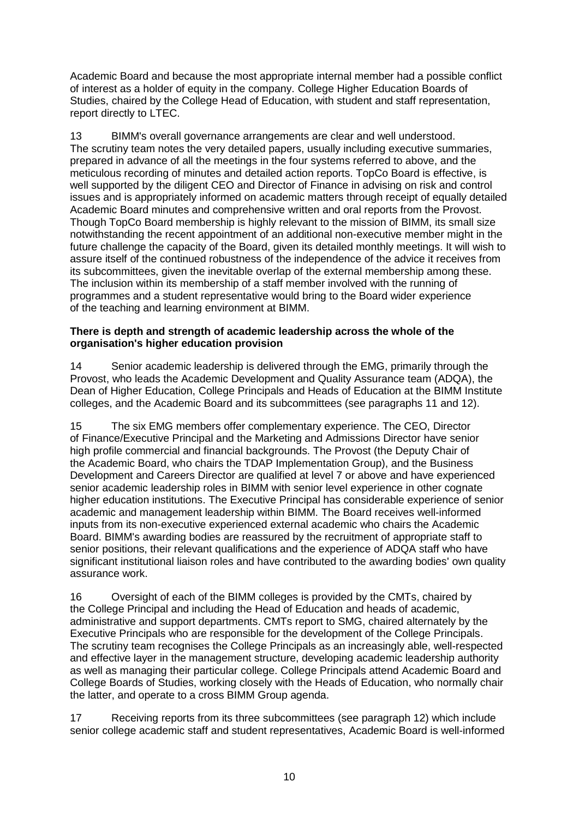Academic Board and because the most appropriate internal member had a possible conflict of interest as a holder of equity in the company. College Higher Education Boards of Studies, chaired by the College Head of Education, with student and staff representation, report directly to LTEC.

13 BIMM's overall governance arrangements are clear and well understood. The scrutiny team notes the very detailed papers, usually including executive summaries, prepared in advance of all the meetings in the four systems referred to above, and the meticulous recording of minutes and detailed action reports. TopCo Board is effective, is well supported by the diligent CEO and Director of Finance in advising on risk and control issues and is appropriately informed on academic matters through receipt of equally detailed Academic Board minutes and comprehensive written and oral reports from the Provost. Though TopCo Board membership is highly relevant to the mission of BIMM, its small size notwithstanding the recent appointment of an additional non-executive member might in the future challenge the capacity of the Board, given its detailed monthly meetings. It will wish to assure itself of the continued robustness of the independence of the advice it receives from its subcommittees, given the inevitable overlap of the external membership among these. The inclusion within its membership of a staff member involved with the running of programmes and a student representative would bring to the Board wider experience of the teaching and learning environment at BIMM.

#### **There is depth and strength of academic leadership across the whole of the organisation's higher education provision**

14 Senior academic leadership is delivered through the EMG, primarily through the Provost, who leads the Academic Development and Quality Assurance team (ADQA), the Dean of Higher Education, College Principals and Heads of Education at the BIMM Institute colleges, and the Academic Board and its subcommittees (see paragraphs 11 and 12).

15 The six EMG members offer complementary experience. The CEO, Director of Finance/Executive Principal and the Marketing and Admissions Director have senior high profile commercial and financial backgrounds. The Provost (the Deputy Chair of the Academic Board, who chairs the TDAP Implementation Group), and the Business Development and Careers Director are qualified at level 7 or above and have experienced senior academic leadership roles in BIMM with senior level experience in other cognate higher education institutions. The Executive Principal has considerable experience of senior academic and management leadership within BIMM. The Board receives well-informed inputs from its non-executive experienced external academic who chairs the Academic Board. BIMM's awarding bodies are reassured by the recruitment of appropriate staff to senior positions, their relevant qualifications and the experience of ADQA staff who have significant institutional liaison roles and have contributed to the awarding bodies' own quality assurance work.

16 Oversight of each of the BIMM colleges is provided by the CMTs, chaired by the College Principal and including the Head of Education and heads of academic, administrative and support departments. CMTs report to SMG, chaired alternately by the Executive Principals who are responsible for the development of the College Principals. The scrutiny team recognises the College Principals as an increasingly able, well-respected and effective layer in the management structure, developing academic leadership authority as well as managing their particular college. College Principals attend Academic Board and College Boards of Studies, working closely with the Heads of Education, who normally chair the latter, and operate to a cross BIMM Group agenda.

17 Receiving reports from its three subcommittees (see paragraph 12) which include senior college academic staff and student representatives, Academic Board is well-informed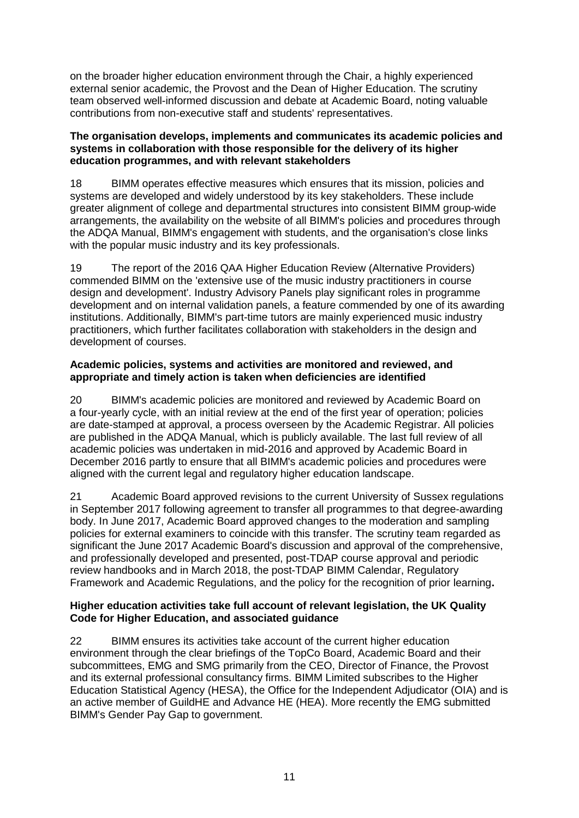on the broader higher education environment through the Chair, a highly experienced external senior academic, the Provost and the Dean of Higher Education. The scrutiny team observed well-informed discussion and debate at Academic Board, noting valuable contributions from non-executive staff and students' representatives.

#### **The organisation develops, implements and communicates its academic policies and systems in collaboration with those responsible for the delivery of its higher education programmes, and with relevant stakeholders**

18 BIMM operates effective measures which ensures that its mission, policies and systems are developed and widely understood by its key stakeholders. These include greater alignment of college and departmental structures into consistent BIMM group-wide arrangements, the availability on the website of all BIMM's policies and procedures through the ADQA Manual, BIMM's engagement with students, and the organisation's close links with the popular music industry and its key professionals.

19 The report of the 2016 QAA Higher Education Review (Alternative Providers) commended BIMM on the 'extensive use of the music industry practitioners in course design and development'. Industry Advisory Panels play significant roles in programme development and on internal validation panels, a feature commended by one of its awarding institutions. Additionally, BIMM's part-time tutors are mainly experienced music industry practitioners, which further facilitates collaboration with stakeholders in the design and development of courses.

#### **Academic policies, systems and activities are monitored and reviewed, and appropriate and timely action is taken when deficiencies are identified**

20 BIMM's academic policies are monitored and reviewed by Academic Board on a four-yearly cycle, with an initial review at the end of the first year of operation; policies are date-stamped at approval, a process overseen by the Academic Registrar. All policies are published in the ADQA Manual, which is publicly available. The last full review of all academic policies was undertaken in mid-2016 and approved by Academic Board in December 2016 partly to ensure that all BIMM's academic policies and procedures were aligned with the current legal and regulatory higher education landscape.

21 Academic Board approved revisions to the current University of Sussex regulations in September 2017 following agreement to transfer all programmes to that degree-awarding body. In June 2017, Academic Board approved changes to the moderation and sampling policies for external examiners to coincide with this transfer. The scrutiny team regarded as significant the June 2017 Academic Board's discussion and approval of the comprehensive, and professionally developed and presented, post-TDAP course approval and periodic review handbooks and in March 2018, the post-TDAP BIMM Calendar, Regulatory Framework and Academic Regulations, and the policy for the recognition of prior learning**.** 

#### **Higher education activities take full account of relevant legislation, the UK Quality Code for Higher Education, and associated guidance**

22 BIMM ensures its activities take account of the current higher education environment through the clear briefings of the TopCo Board, Academic Board and their subcommittees, EMG and SMG primarily from the CEO, Director of Finance, the Provost and its external professional consultancy firms. BIMM Limited subscribes to the Higher Education Statistical Agency (HESA), the Office for the Independent Adjudicator (OIA) and is an active member of GuildHE and Advance HE (HEA). More recently the EMG submitted BIMM's Gender Pay Gap to government.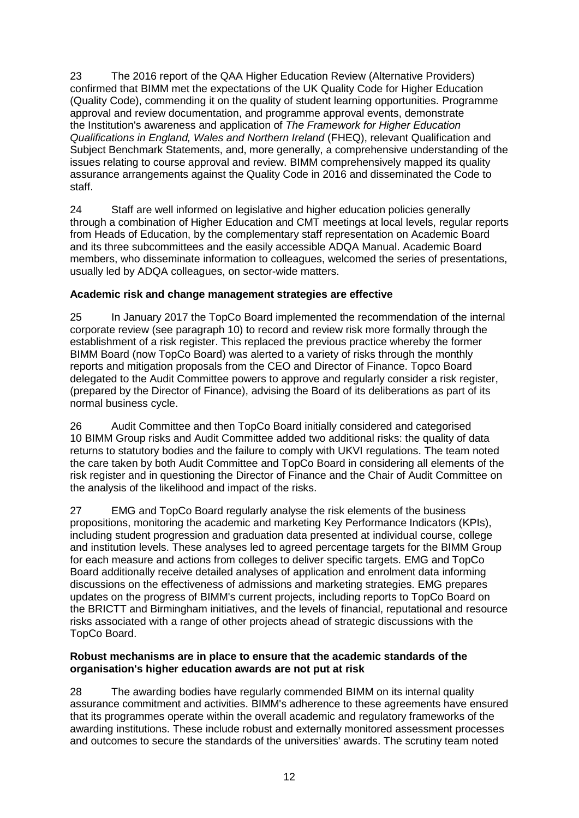23 The 2016 report of the QAA Higher Education Review (Alternative Providers) confirmed that BIMM met the expectations of the UK Quality Code for Higher Education (Quality Code), commending it on the quality of student learning opportunities. Programme approval and review documentation, and programme approval events, demonstrate the Institution's awareness and application of *The Framework for Higher Education Qualifications in England, Wales and Northern Ireland* (FHEQ), relevant Qualification and Subject Benchmark Statements, and, more generally, a comprehensive understanding of the issues relating to course approval and review. BIMM comprehensively mapped its quality assurance arrangements against the Quality Code in 2016 and disseminated the Code to staff.

24 Staff are well informed on legislative and higher education policies generally through a combination of Higher Education and CMT meetings at local levels, regular reports from Heads of Education, by the complementary staff representation on Academic Board and its three subcommittees and the easily accessible ADQA Manual. Academic Board members, who disseminate information to colleagues, welcomed the series of presentations, usually led by ADQA colleagues, on sector-wide matters.

#### **Academic risk and change management strategies are effective**

25 In January 2017 the TopCo Board implemented the recommendation of the internal corporate review (see paragraph 10) to record and review risk more formally through the establishment of a risk register. This replaced the previous practice whereby the former BIMM Board (now TopCo Board) was alerted to a variety of risks through the monthly reports and mitigation proposals from the CEO and Director of Finance. Topco Board delegated to the Audit Committee powers to approve and regularly consider a risk register, (prepared by the Director of Finance), advising the Board of its deliberations as part of its normal business cycle.

26 Audit Committee and then TopCo Board initially considered and categorised 10 BIMM Group risks and Audit Committee added two additional risks: the quality of data returns to statutory bodies and the failure to comply with UKVI regulations. The team noted the care taken by both Audit Committee and TopCo Board in considering all elements of the risk register and in questioning the Director of Finance and the Chair of Audit Committee on the analysis of the likelihood and impact of the risks.

27 EMG and TopCo Board regularly analyse the risk elements of the business propositions, monitoring the academic and marketing Key Performance Indicators (KPIs), including student progression and graduation data presented at individual course, college and institution levels. These analyses led to agreed percentage targets for the BIMM Group for each measure and actions from colleges to deliver specific targets. EMG and TopCo Board additionally receive detailed analyses of application and enrolment data informing discussions on the effectiveness of admissions and marketing strategies. EMG prepares updates on the progress of BIMM's current projects, including reports to TopCo Board on the BRICTT and Birmingham initiatives, and the levels of financial, reputational and resource risks associated with a range of other projects ahead of strategic discussions with the TopCo Board.

#### **Robust mechanisms are in place to ensure that the academic standards of the organisation's higher education awards are not put at risk**

28 The awarding bodies have regularly commended BIMM on its internal quality assurance commitment and activities. BIMM's adherence to these agreements have ensured that its programmes operate within the overall academic and regulatory frameworks of the awarding institutions. These include robust and externally monitored assessment processes and outcomes to secure the standards of the universities' awards. The scrutiny team noted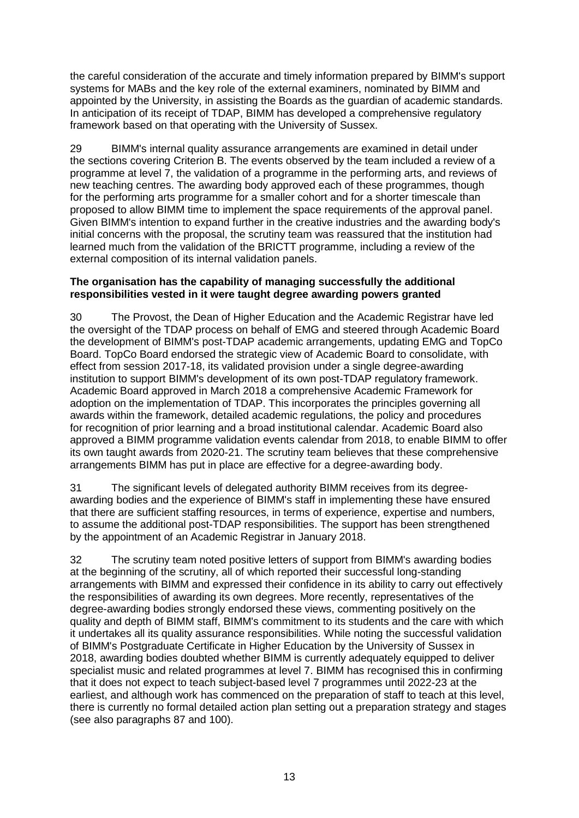the careful consideration of the accurate and timely information prepared by BIMM's support systems for MABs and the key role of the external examiners, nominated by BIMM and appointed by the University, in assisting the Boards as the guardian of academic standards. In anticipation of its receipt of TDAP, BIMM has developed a comprehensive regulatory framework based on that operating with the University of Sussex.

29 BIMM's internal quality assurance arrangements are examined in detail under the sections covering Criterion B. The events observed by the team included a review of a programme at level 7, the validation of a programme in the performing arts, and reviews of new teaching centres. The awarding body approved each of these programmes, though for the performing arts programme for a smaller cohort and for a shorter timescale than proposed to allow BIMM time to implement the space requirements of the approval panel. Given BIMM's intention to expand further in the creative industries and the awarding body's initial concerns with the proposal, the scrutiny team was reassured that the institution had learned much from the validation of the BRICTT programme, including a review of the external composition of its internal validation panels.

#### **The organisation has the capability of managing successfully the additional responsibilities vested in it were taught degree awarding powers granted**

30 The Provost, the Dean of Higher Education and the Academic Registrar have led the oversight of the TDAP process on behalf of EMG and steered through Academic Board the development of BIMM's post-TDAP academic arrangements, updating EMG and TopCo Board. TopCo Board endorsed the strategic view of Academic Board to consolidate, with effect from session 2017-18, its validated provision under a single degree-awarding institution to support BIMM's development of its own post-TDAP regulatory framework. Academic Board approved in March 2018 a comprehensive Academic Framework for adoption on the implementation of TDAP. This incorporates the principles governing all awards within the framework, detailed academic regulations, the policy and procedures for recognition of prior learning and a broad institutional calendar. Academic Board also approved a BIMM programme validation events calendar from 2018, to enable BIMM to offer its own taught awards from 2020-21. The scrutiny team believes that these comprehensive arrangements BIMM has put in place are effective for a degree-awarding body.

31 The significant levels of delegated authority BIMM receives from its degreeawarding bodies and the experience of BIMM's staff in implementing these have ensured that there are sufficient staffing resources, in terms of experience, expertise and numbers, to assume the additional post-TDAP responsibilities. The support has been strengthened by the appointment of an Academic Registrar in January 2018.

32 The scrutiny team noted positive letters of support from BIMM's awarding bodies at the beginning of the scrutiny, all of which reported their successful long-standing arrangements with BIMM and expressed their confidence in its ability to carry out effectively the responsibilities of awarding its own degrees. More recently, representatives of the degree-awarding bodies strongly endorsed these views, commenting positively on the quality and depth of BIMM staff, BIMM's commitment to its students and the care with which it undertakes all its quality assurance responsibilities. While noting the successful validation of BIMM's Postgraduate Certificate in Higher Education by the University of Sussex in 2018, awarding bodies doubted whether BIMM is currently adequately equipped to deliver specialist music and related programmes at level 7. BIMM has recognised this in confirming that it does not expect to teach subject-based level 7 programmes until 2022-23 at the earliest, and although work has commenced on the preparation of staff to teach at this level, there is currently no formal detailed action plan setting out a preparation strategy and stages (see also paragraphs 87 and 100).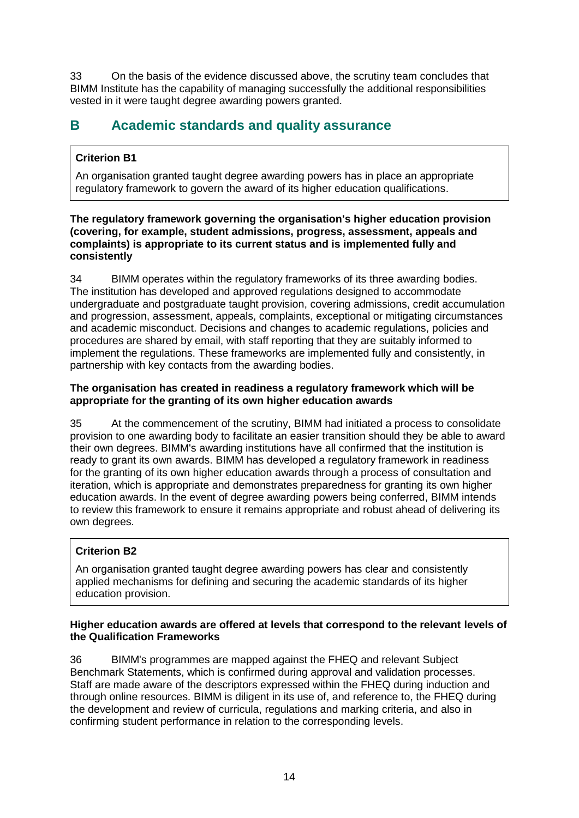33 On the basis of the evidence discussed above, the scrutiny team concludes that BIMM Institute has the capability of managing successfully the additional responsibilities vested in it were taught degree awarding powers granted.

# <span id="page-14-0"></span>**B Academic standards and quality assurance**

### **Criterion B1**

An organisation granted taught degree awarding powers has in place an appropriate regulatory framework to govern the award of its higher education qualifications.

#### **The regulatory framework governing the organisation's higher education provision (covering, for example, student admissions, progress, assessment, appeals and complaints) is appropriate to its current status and is implemented fully and consistently**

34 BIMM operates within the regulatory frameworks of its three awarding bodies. The institution has developed and approved regulations designed to accommodate undergraduate and postgraduate taught provision, covering admissions, credit accumulation and progression, assessment, appeals, complaints, exceptional or mitigating circumstances and academic misconduct. Decisions and changes to academic regulations, policies and procedures are shared by email, with staff reporting that they are suitably informed to implement the regulations. These frameworks are implemented fully and consistently, in partnership with key contacts from the awarding bodies.

#### **The organisation has created in readiness a regulatory framework which will be appropriate for the granting of its own higher education awards**

35 At the commencement of the scrutiny, BIMM had initiated a process to consolidate provision to one awarding body to facilitate an easier transition should they be able to award their own degrees. BIMM's awarding institutions have all confirmed that the institution is ready to grant its own awards. BIMM has developed a regulatory framework in readiness for the granting of its own higher education awards through a process of consultation and iteration, which is appropriate and demonstrates preparedness for granting its own higher education awards. In the event of degree awarding powers being conferred, BIMM intends to review this framework to ensure it remains appropriate and robust ahead of delivering its own degrees.

### **Criterion B2**

An organisation granted taught degree awarding powers has clear and consistently applied mechanisms for defining and securing the academic standards of its higher education provision.

#### **Higher education awards are offered at levels that correspond to the relevant levels of the Qualification Frameworks**

36 BIMM's programmes are mapped against the FHEQ and relevant Subject Benchmark Statements, which is confirmed during approval and validation processes. Staff are made aware of the descriptors expressed within the FHEQ during induction and through online resources. BIMM is diligent in its use of, and reference to, the FHEQ during the development and review of curricula, regulations and marking criteria, and also in confirming student performance in relation to the corresponding levels.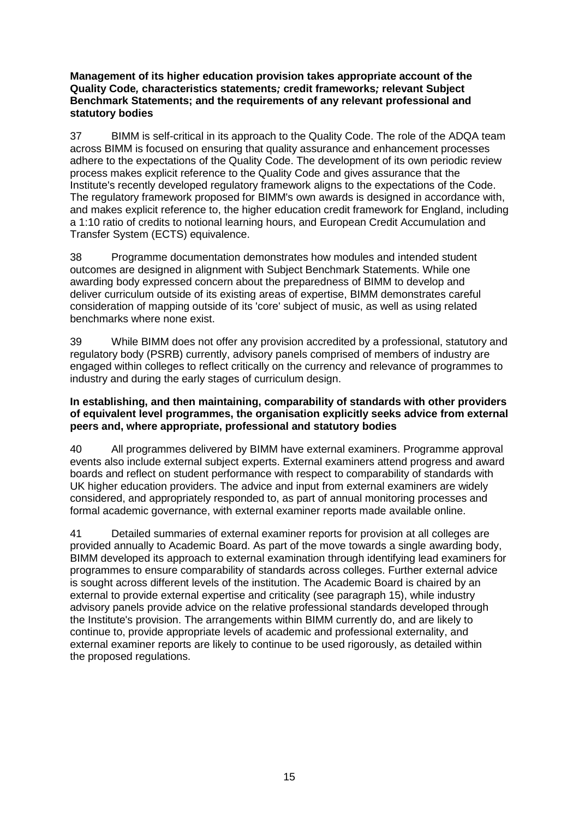#### **Management of its higher education provision takes appropriate account of the Quality Code***,* **characteristics statements***;* **credit frameworks***;* **relevant Subject Benchmark Statements; and the requirements of any relevant professional and statutory bodies**

37 BIMM is self-critical in its approach to the Quality Code. The role of the ADQA team across BIMM is focused on ensuring that quality assurance and enhancement processes adhere to the expectations of the Quality Code. The development of its own periodic review process makes explicit reference to the Quality Code and gives assurance that the Institute's recently developed regulatory framework aligns to the expectations of the Code. The regulatory framework proposed for BIMM's own awards is designed in accordance with, and makes explicit reference to, the higher education credit framework for England, including a 1:10 ratio of credits to notional learning hours, and European Credit Accumulation and Transfer System (ECTS) equivalence.

38 Programme documentation demonstrates how modules and intended student outcomes are designed in alignment with Subject Benchmark Statements. While one awarding body expressed concern about the preparedness of BIMM to develop and deliver curriculum outside of its existing areas of expertise, BIMM demonstrates careful consideration of mapping outside of its 'core' subject of music, as well as using related benchmarks where none exist.

39 While BIMM does not offer any provision accredited by a professional, statutory and regulatory body (PSRB) currently, advisory panels comprised of members of industry are engaged within colleges to reflect critically on the currency and relevance of programmes to industry and during the early stages of curriculum design.

#### **In establishing, and then maintaining, comparability of standards with other providers of equivalent level programmes, the organisation explicitly seeks advice from external peers and, where appropriate, professional and statutory bodies**

40 All programmes delivered by BIMM have external examiners. Programme approval events also include external subject experts. External examiners attend progress and award boards and reflect on student performance with respect to comparability of standards with UK higher education providers. The advice and input from external examiners are widely considered, and appropriately responded to, as part of annual monitoring processes and formal academic governance, with external examiner reports made available online.

41 Detailed summaries of external examiner reports for provision at all colleges are provided annually to Academic Board. As part of the move towards a single awarding body, BIMM developed its approach to external examination through identifying lead examiners for programmes to ensure comparability of standards across colleges. Further external advice is sought across different levels of the institution. The Academic Board is chaired by an external to provide external expertise and criticality (see paragraph 15), while industry advisory panels provide advice on the relative professional standards developed through the Institute's provision. The arrangements within BIMM currently do, and are likely to continue to, provide appropriate levels of academic and professional externality, and external examiner reports are likely to continue to be used rigorously, as detailed within the proposed regulations.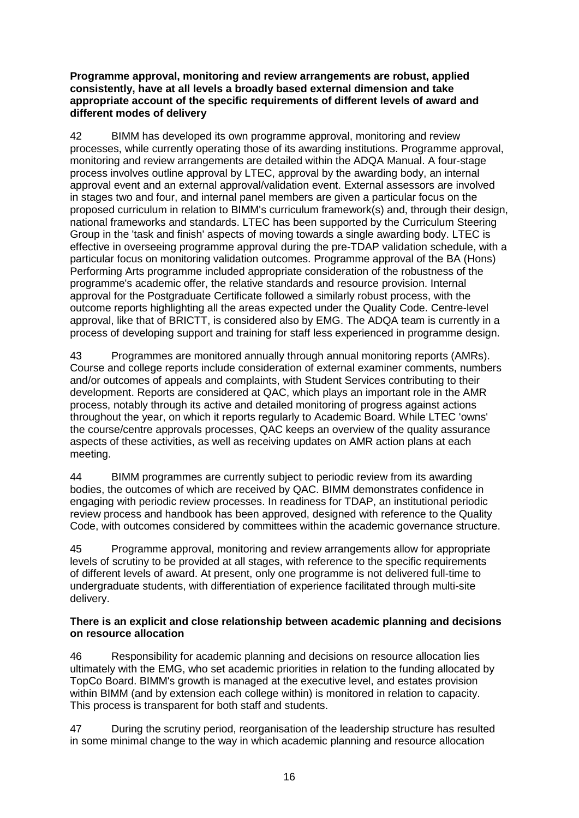#### **Programme approval, monitoring and review arrangements are robust, applied consistently, have at all levels a broadly based external dimension and take appropriate account of the specific requirements of different levels of award and different modes of delivery**

42 BIMM has developed its own programme approval, monitoring and review processes, while currently operating those of its awarding institutions. Programme approval, monitoring and review arrangements are detailed within the ADQA Manual. A four-stage process involves outline approval by LTEC, approval by the awarding body, an internal approval event and an external approval/validation event. External assessors are involved in stages two and four, and internal panel members are given a particular focus on the proposed curriculum in relation to BIMM's curriculum framework(s) and, through their design, national frameworks and standards. LTEC has been supported by the Curriculum Steering Group in the 'task and finish' aspects of moving towards a single awarding body. LTEC is effective in overseeing programme approval during the pre-TDAP validation schedule, with a particular focus on monitoring validation outcomes. Programme approval of the BA (Hons) Performing Arts programme included appropriate consideration of the robustness of the programme's academic offer, the relative standards and resource provision. Internal approval for the Postgraduate Certificate followed a similarly robust process, with the outcome reports highlighting all the areas expected under the Quality Code. Centre-level approval, like that of BRICTT, is considered also by EMG. The ADQA team is currently in a process of developing support and training for staff less experienced in programme design.

43 Programmes are monitored annually through annual monitoring reports (AMRs). Course and college reports include consideration of external examiner comments, numbers and/or outcomes of appeals and complaints, with Student Services contributing to their development. Reports are considered at QAC, which plays an important role in the AMR process, notably through its active and detailed monitoring of progress against actions throughout the year, on which it reports regularly to Academic Board. While LTEC 'owns' the course/centre approvals processes, QAC keeps an overview of the quality assurance aspects of these activities, as well as receiving updates on AMR action plans at each meeting.

44 BIMM programmes are currently subject to periodic review from its awarding bodies, the outcomes of which are received by QAC. BIMM demonstrates confidence in engaging with periodic review processes. In readiness for TDAP, an institutional periodic review process and handbook has been approved, designed with reference to the Quality Code, with outcomes considered by committees within the academic governance structure.

45 Programme approval, monitoring and review arrangements allow for appropriate levels of scrutiny to be provided at all stages, with reference to the specific requirements of different levels of award. At present, only one programme is not delivered full-time to undergraduate students, with differentiation of experience facilitated through multi-site delivery.

#### **There is an explicit and close relationship between academic planning and decisions on resource allocation**

46 Responsibility for academic planning and decisions on resource allocation lies ultimately with the EMG, who set academic priorities in relation to the funding allocated by TopCo Board. BIMM's growth is managed at the executive level, and estates provision within BIMM (and by extension each college within) is monitored in relation to capacity. This process is transparent for both staff and students.

47 During the scrutiny period, reorganisation of the leadership structure has resulted in some minimal change to the way in which academic planning and resource allocation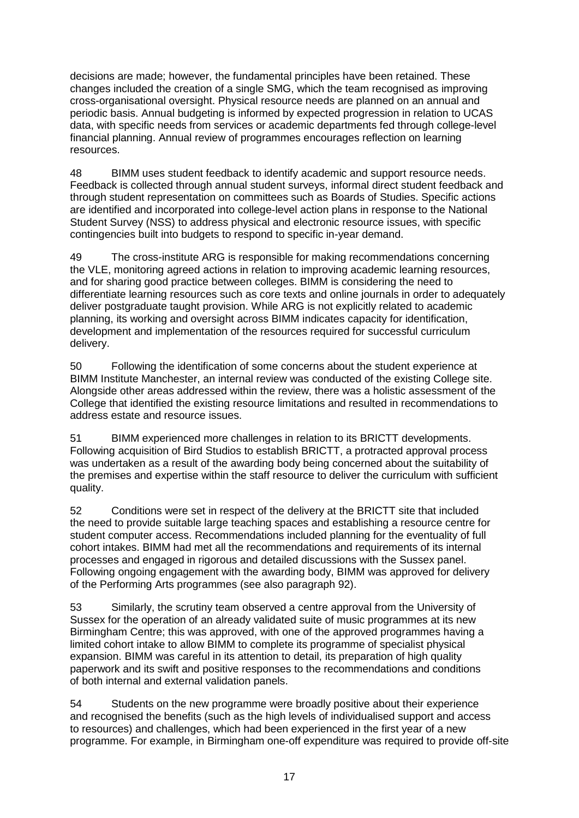decisions are made; however, the fundamental principles have been retained. These changes included the creation of a single SMG, which the team recognised as improving cross-organisational oversight. Physical resource needs are planned on an annual and periodic basis. Annual budgeting is informed by expected progression in relation to UCAS data, with specific needs from services or academic departments fed through college-level financial planning. Annual review of programmes encourages reflection on learning resources.

48 BIMM uses student feedback to identify academic and support resource needs. Feedback is collected through annual student surveys, informal direct student feedback and through student representation on committees such as Boards of Studies. Specific actions are identified and incorporated into college-level action plans in response to the National Student Survey (NSS) to address physical and electronic resource issues, with specific contingencies built into budgets to respond to specific in-year demand.

49 The cross-institute ARG is responsible for making recommendations concerning the VLE, monitoring agreed actions in relation to improving academic learning resources, and for sharing good practice between colleges. BIMM is considering the need to differentiate learning resources such as core texts and online journals in order to adequately deliver postgraduate taught provision. While ARG is not explicitly related to academic planning, its working and oversight across BIMM indicates capacity for identification, development and implementation of the resources required for successful curriculum delivery.

50 Following the identification of some concerns about the student experience at BIMM Institute Manchester, an internal review was conducted of the existing College site. Alongside other areas addressed within the review, there was a holistic assessment of the College that identified the existing resource limitations and resulted in recommendations to address estate and resource issues.

51 BIMM experienced more challenges in relation to its BRICTT developments. Following acquisition of Bird Studios to establish BRICTT, a protracted approval process was undertaken as a result of the awarding body being concerned about the suitability of the premises and expertise within the staff resource to deliver the curriculum with sufficient quality.

52 Conditions were set in respect of the delivery at the BRICTT site that included the need to provide suitable large teaching spaces and establishing a resource centre for student computer access. Recommendations included planning for the eventuality of full cohort intakes. BIMM had met all the recommendations and requirements of its internal processes and engaged in rigorous and detailed discussions with the Sussex panel. Following ongoing engagement with the awarding body, BIMM was approved for delivery of the Performing Arts programmes (see also paragraph 92).

53 Similarly, the scrutiny team observed a centre approval from the University of Sussex for the operation of an already validated suite of music programmes at its new Birmingham Centre; this was approved, with one of the approved programmes having a limited cohort intake to allow BIMM to complete its programme of specialist physical expansion. BIMM was careful in its attention to detail, its preparation of high quality paperwork and its swift and positive responses to the recommendations and conditions of both internal and external validation panels.

54 Students on the new programme were broadly positive about their experience and recognised the benefits (such as the high levels of individualised support and access to resources) and challenges, which had been experienced in the first year of a new programme. For example, in Birmingham one-off expenditure was required to provide off-site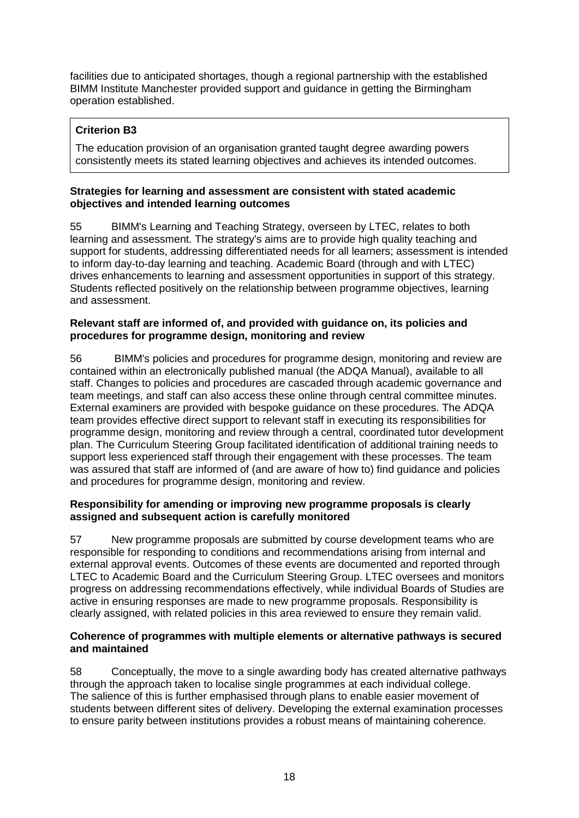facilities due to anticipated shortages, though a regional partnership with the established BIMM Institute Manchester provided support and guidance in getting the Birmingham operation established.

### **Criterion B3**

The education provision of an organisation granted taught degree awarding powers consistently meets its stated learning objectives and achieves its intended outcomes.

#### **Strategies for learning and assessment are consistent with stated academic objectives and intended learning outcomes**

55 BIMM's Learning and Teaching Strategy, overseen by LTEC, relates to both learning and assessment. The strategy's aims are to provide high quality teaching and support for students, addressing differentiated needs for all learners; assessment is intended to inform day-to-day learning and teaching. Academic Board (through and with LTEC) drives enhancements to learning and assessment opportunities in support of this strategy. Students reflected positively on the relationship between programme objectives, learning and assessment.

#### **Relevant staff are informed of, and provided with guidance on, its policies and procedures for programme design, monitoring and review**

56 BIMM's policies and procedures for programme design, monitoring and review are contained within an electronically published manual (the ADQA Manual), available to all staff. Changes to policies and procedures are cascaded through academic governance and team meetings, and staff can also access these online through central committee minutes. External examiners are provided with bespoke guidance on these procedures. The ADQA team provides effective direct support to relevant staff in executing its responsibilities for programme design, monitoring and review through a central, coordinated tutor development plan. The Curriculum Steering Group facilitated identification of additional training needs to support less experienced staff through their engagement with these processes. The team was assured that staff are informed of (and are aware of how to) find guidance and policies and procedures for programme design, monitoring and review.

#### **Responsibility for amending or improving new programme proposals is clearly assigned and subsequent action is carefully monitored**

57 New programme proposals are submitted by course development teams who are responsible for responding to conditions and recommendations arising from internal and external approval events. Outcomes of these events are documented and reported through LTEC to Academic Board and the Curriculum Steering Group. LTEC oversees and monitors progress on addressing recommendations effectively, while individual Boards of Studies are active in ensuring responses are made to new programme proposals. Responsibility is clearly assigned, with related policies in this area reviewed to ensure they remain valid.

#### **Coherence of programmes with multiple elements or alternative pathways is secured and maintained**

58 Conceptually, the move to a single awarding body has created alternative pathways through the approach taken to localise single programmes at each individual college. The salience of this is further emphasised through plans to enable easier movement of students between different sites of delivery. Developing the external examination processes to ensure parity between institutions provides a robust means of maintaining coherence.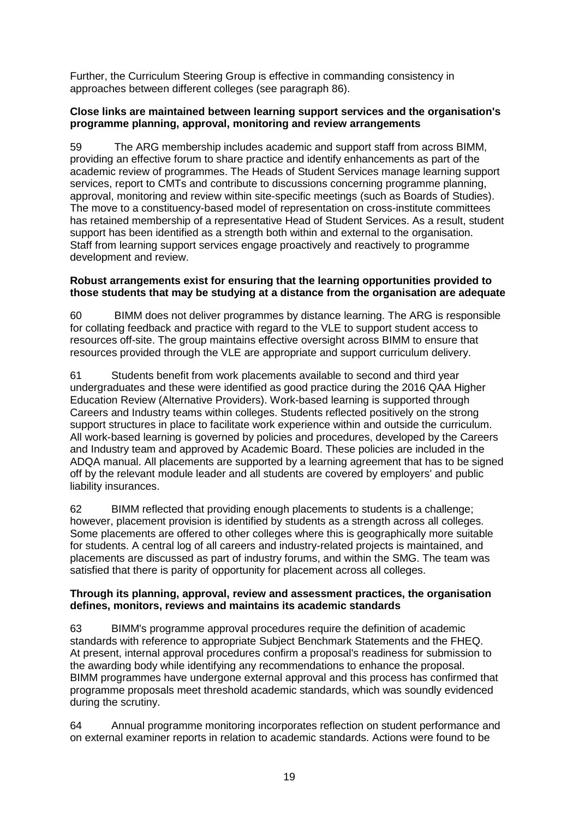Further, the Curriculum Steering Group is effective in commanding consistency in approaches between different colleges (see paragraph 86).

#### **Close links are maintained between learning support services and the organisation's programme planning, approval, monitoring and review arrangements**

59 The ARG membership includes academic and support staff from across BIMM, providing an effective forum to share practice and identify enhancements as part of the academic review of programmes. The Heads of Student Services manage learning support services, report to CMTs and contribute to discussions concerning programme planning, approval, monitoring and review within site-specific meetings (such as Boards of Studies). The move to a constituency-based model of representation on cross-institute committees has retained membership of a representative Head of Student Services. As a result, student support has been identified as a strength both within and external to the organisation. Staff from learning support services engage proactively and reactively to programme development and review.

#### **Robust arrangements exist for ensuring that the learning opportunities provided to those students that may be studying at a distance from the organisation are adequate**

60 BIMM does not deliver programmes by distance learning. The ARG is responsible for collating feedback and practice with regard to the VLE to support student access to resources off-site. The group maintains effective oversight across BIMM to ensure that resources provided through the VLE are appropriate and support curriculum delivery.

61 Students benefit from work placements available to second and third year undergraduates and these were identified as good practice during the 2016 QAA Higher Education Review (Alternative Providers). Work-based learning is supported through Careers and Industry teams within colleges. Students reflected positively on the strong support structures in place to facilitate work experience within and outside the curriculum. All work-based learning is governed by policies and procedures, developed by the Careers and Industry team and approved by Academic Board. These policies are included in the ADQA manual. All placements are supported by a learning agreement that has to be signed off by the relevant module leader and all students are covered by employers' and public liability insurances.

62 BIMM reflected that providing enough placements to students is a challenge; however, placement provision is identified by students as a strength across all colleges. Some placements are offered to other colleges where this is geographically more suitable for students. A central log of all careers and industry-related projects is maintained, and placements are discussed as part of industry forums, and within the SMG. The team was satisfied that there is parity of opportunity for placement across all colleges.

#### **Through its planning, approval, review and assessment practices, the organisation defines, monitors, reviews and maintains its academic standards**

63 BIMM's programme approval procedures require the definition of academic standards with reference to appropriate Subject Benchmark Statements and the FHEQ. At present, internal approval procedures confirm a proposal's readiness for submission to the awarding body while identifying any recommendations to enhance the proposal. BIMM programmes have undergone external approval and this process has confirmed that programme proposals meet threshold academic standards, which was soundly evidenced during the scrutiny.

64 Annual programme monitoring incorporates reflection on student performance and on external examiner reports in relation to academic standards. Actions were found to be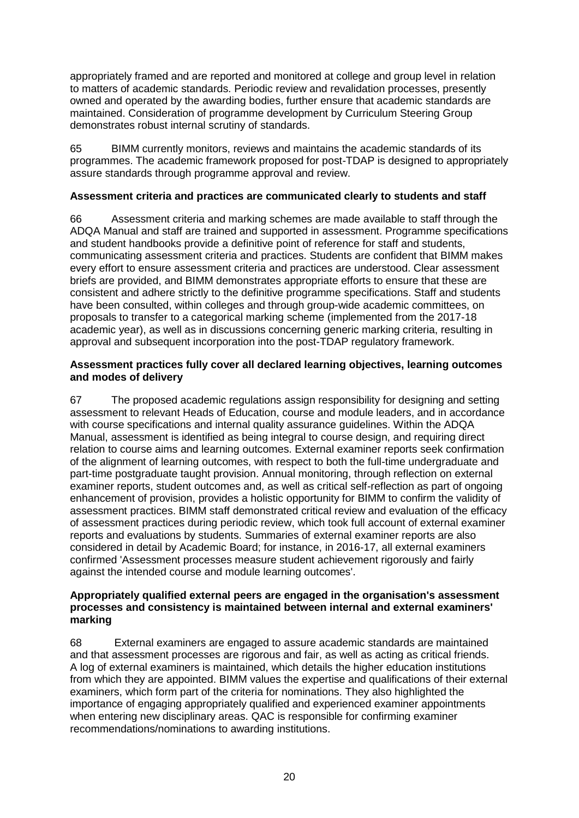appropriately framed and are reported and monitored at college and group level in relation to matters of academic standards. Periodic review and revalidation processes, presently owned and operated by the awarding bodies, further ensure that academic standards are maintained. Consideration of programme development by Curriculum Steering Group demonstrates robust internal scrutiny of standards.

65 BIMM currently monitors, reviews and maintains the academic standards of its programmes. The academic framework proposed for post-TDAP is designed to appropriately assure standards through programme approval and review.

#### **Assessment criteria and practices are communicated clearly to students and staff**

66 Assessment criteria and marking schemes are made available to staff through the ADQA Manual and staff are trained and supported in assessment. Programme specifications and student handbooks provide a definitive point of reference for staff and students, communicating assessment criteria and practices. Students are confident that BIMM makes every effort to ensure assessment criteria and practices are understood. Clear assessment briefs are provided, and BIMM demonstrates appropriate efforts to ensure that these are consistent and adhere strictly to the definitive programme specifications. Staff and students have been consulted, within colleges and through group-wide academic committees, on proposals to transfer to a categorical marking scheme (implemented from the 2017-18 academic year), as well as in discussions concerning generic marking criteria, resulting in approval and subsequent incorporation into the post-TDAP regulatory framework.

#### **Assessment practices fully cover all declared learning objectives, learning outcomes and modes of delivery**

67 The proposed academic regulations assign responsibility for designing and setting assessment to relevant Heads of Education, course and module leaders, and in accordance with course specifications and internal quality assurance guidelines. Within the ADQA Manual, assessment is identified as being integral to course design, and requiring direct relation to course aims and learning outcomes. External examiner reports seek confirmation of the alignment of learning outcomes, with respect to both the full-time undergraduate and part-time postgraduate taught provision. Annual monitoring, through reflection on external examiner reports, student outcomes and, as well as critical self-reflection as part of ongoing enhancement of provision, provides a holistic opportunity for BIMM to confirm the validity of assessment practices. BIMM staff demonstrated critical review and evaluation of the efficacy of assessment practices during periodic review, which took full account of external examiner reports and evaluations by students. Summaries of external examiner reports are also considered in detail by Academic Board; for instance, in 2016-17, all external examiners confirmed 'Assessment processes measure student achievement rigorously and fairly against the intended course and module learning outcomes'.

#### **Appropriately qualified external peers are engaged in the organisation's assessment processes and consistency is maintained between internal and external examiners' marking**

68 External examiners are engaged to assure academic standards are maintained and that assessment processes are rigorous and fair, as well as acting as critical friends. A log of external examiners is maintained, which details the higher education institutions from which they are appointed. BIMM values the expertise and qualifications of their external examiners, which form part of the criteria for nominations. They also highlighted the importance of engaging appropriately qualified and experienced examiner appointments when entering new disciplinary areas. QAC is responsible for confirming examiner recommendations/nominations to awarding institutions.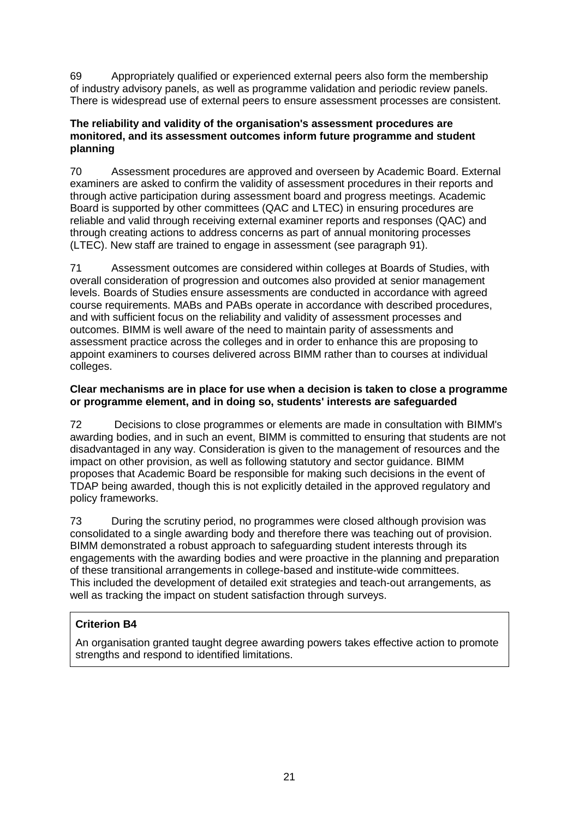69 Appropriately qualified or experienced external peers also form the membership of industry advisory panels, as well as programme validation and periodic review panels. There is widespread use of external peers to ensure assessment processes are consistent.

#### **The reliability and validity of the organisation's assessment procedures are monitored, and its assessment outcomes inform future programme and student planning**

70 Assessment procedures are approved and overseen by Academic Board. External examiners are asked to confirm the validity of assessment procedures in their reports and through active participation during assessment board and progress meetings. Academic Board is supported by other committees (QAC and LTEC) in ensuring procedures are reliable and valid through receiving external examiner reports and responses (QAC) and through creating actions to address concerns as part of annual monitoring processes (LTEC). New staff are trained to engage in assessment (see paragraph 91).

71 Assessment outcomes are considered within colleges at Boards of Studies, with overall consideration of progression and outcomes also provided at senior management levels. Boards of Studies ensure assessments are conducted in accordance with agreed course requirements. MABs and PABs operate in accordance with described procedures, and with sufficient focus on the reliability and validity of assessment processes and outcomes. BIMM is well aware of the need to maintain parity of assessments and assessment practice across the colleges and in order to enhance this are proposing to appoint examiners to courses delivered across BIMM rather than to courses at individual colleges.

#### **Clear mechanisms are in place for use when a decision is taken to close a programme or programme element, and in doing so, students' interests are safeguarded**

72 Decisions to close programmes or elements are made in consultation with BIMM's awarding bodies, and in such an event, BIMM is committed to ensuring that students are not disadvantaged in any way. Consideration is given to the management of resources and the impact on other provision, as well as following statutory and sector guidance. BIMM proposes that Academic Board be responsible for making such decisions in the event of TDAP being awarded, though this is not explicitly detailed in the approved regulatory and policy frameworks.

73 During the scrutiny period, no programmes were closed although provision was consolidated to a single awarding body and therefore there was teaching out of provision. BIMM demonstrated a robust approach to safeguarding student interests through its engagements with the awarding bodies and were proactive in the planning and preparation of these transitional arrangements in college-based and institute-wide committees. This included the development of detailed exit strategies and teach-out arrangements, as well as tracking the impact on student satisfaction through surveys.

### **Criterion B4**

An organisation granted taught degree awarding powers takes effective action to promote strengths and respond to identified limitations.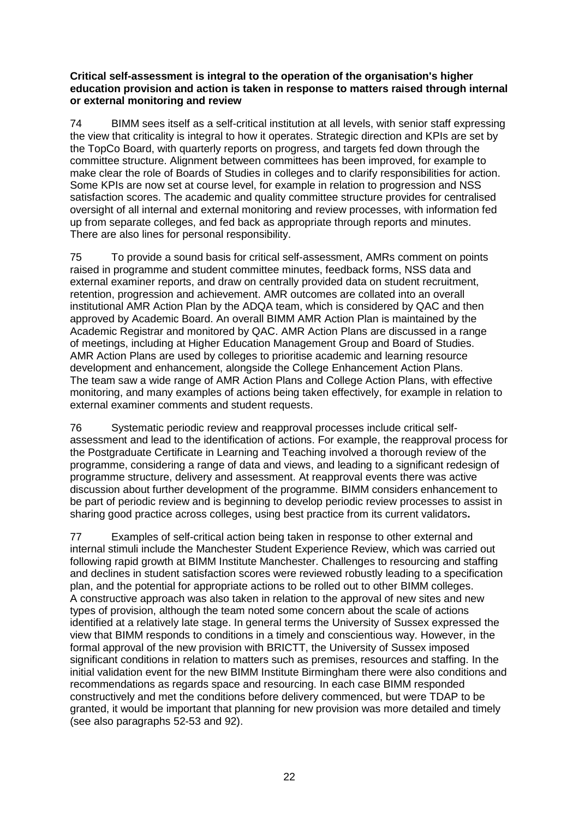#### **Critical self-assessment is integral to the operation of the organisation's higher education provision and action is taken in response to matters raised through internal or external monitoring and review**

74 BIMM sees itself as a self-critical institution at all levels, with senior staff expressing the view that criticality is integral to how it operates. Strategic direction and KPIs are set by the TopCo Board, with quarterly reports on progress, and targets fed down through the committee structure. Alignment between committees has been improved, for example to make clear the role of Boards of Studies in colleges and to clarify responsibilities for action. Some KPIs are now set at course level, for example in relation to progression and NSS satisfaction scores. The academic and quality committee structure provides for centralised oversight of all internal and external monitoring and review processes, with information fed up from separate colleges, and fed back as appropriate through reports and minutes. There are also lines for personal responsibility.

75 To provide a sound basis for critical self-assessment, AMRs comment on points raised in programme and student committee minutes, feedback forms, NSS data and external examiner reports, and draw on centrally provided data on student recruitment, retention, progression and achievement. AMR outcomes are collated into an overall institutional AMR Action Plan by the ADQA team, which is considered by QAC and then approved by Academic Board. An overall BIMM AMR Action Plan is maintained by the Academic Registrar and monitored by QAC. AMR Action Plans are discussed in a range of meetings, including at Higher Education Management Group and Board of Studies. AMR Action Plans are used by colleges to prioritise academic and learning resource development and enhancement, alongside the College Enhancement Action Plans. The team saw a wide range of AMR Action Plans and College Action Plans, with effective monitoring, and many examples of actions being taken effectively, for example in relation to external examiner comments and student requests.

76 Systematic periodic review and reapproval processes include critical selfassessment and lead to the identification of actions. For example, the reapproval process for the Postgraduate Certificate in Learning and Teaching involved a thorough review of the programme, considering a range of data and views, and leading to a significant redesign of programme structure, delivery and assessment. At reapproval events there was active discussion about further development of the programme. BIMM considers enhancement to be part of periodic review and is beginning to develop periodic review processes to assist in sharing good practice across colleges, using best practice from its current validators**.**

77 Examples of self-critical action being taken in response to other external and internal stimuli include the Manchester Student Experience Review, which was carried out following rapid growth at BIMM Institute Manchester. Challenges to resourcing and staffing and declines in student satisfaction scores were reviewed robustly leading to a specification plan, and the potential for appropriate actions to be rolled out to other BIMM colleges. A constructive approach was also taken in relation to the approval of new sites and new types of provision, although the team noted some concern about the scale of actions identified at a relatively late stage. In general terms the University of Sussex expressed the view that BIMM responds to conditions in a timely and conscientious way. However, in the formal approval of the new provision with BRICTT, the University of Sussex imposed significant conditions in relation to matters such as premises, resources and staffing. In the initial validation event for the new BIMM Institute Birmingham there were also conditions and recommendations as regards space and resourcing. In each case BIMM responded constructively and met the conditions before delivery commenced, but were TDAP to be granted, it would be important that planning for new provision was more detailed and timely (see also paragraphs 52-53 and 92).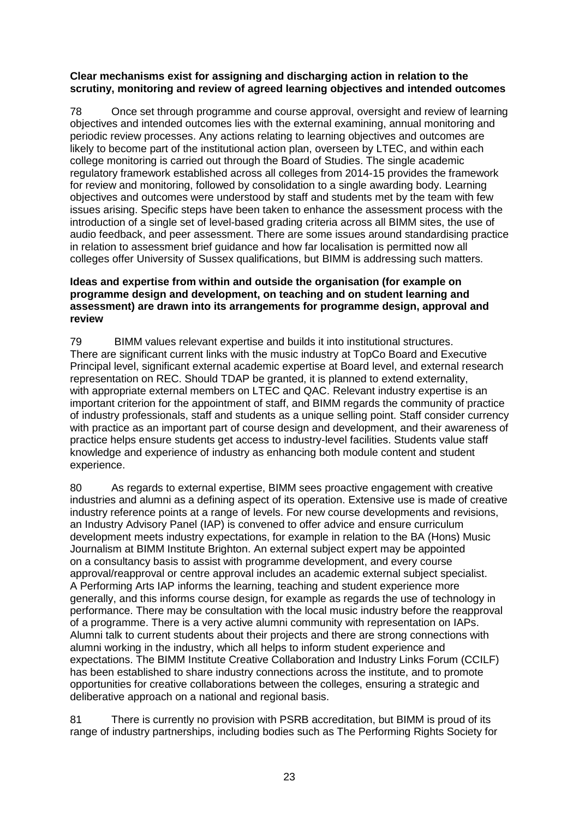#### **Clear mechanisms exist for assigning and discharging action in relation to the scrutiny, monitoring and review of agreed learning objectives and intended outcomes**

78 Once set through programme and course approval, oversight and review of learning objectives and intended outcomes lies with the external examining, annual monitoring and periodic review processes. Any actions relating to learning objectives and outcomes are likely to become part of the institutional action plan, overseen by LTEC, and within each college monitoring is carried out through the Board of Studies. The single academic regulatory framework established across all colleges from 2014-15 provides the framework for review and monitoring, followed by consolidation to a single awarding body. Learning objectives and outcomes were understood by staff and students met by the team with few issues arising. Specific steps have been taken to enhance the assessment process with the introduction of a single set of level-based grading criteria across all BIMM sites, the use of audio feedback, and peer assessment. There are some issues around standardising practice in relation to assessment brief guidance and how far localisation is permitted now all colleges offer University of Sussex qualifications, but BIMM is addressing such matters.

#### **Ideas and expertise from within and outside the organisation (for example on programme design and development, on teaching and on student learning and assessment) are drawn into its arrangements for programme design, approval and review**

79 BIMM values relevant expertise and builds it into institutional structures. There are significant current links with the music industry at TopCo Board and Executive Principal level, significant external academic expertise at Board level, and external research representation on REC. Should TDAP be granted, it is planned to extend externality, with appropriate external members on LTEC and QAC. Relevant industry expertise is an important criterion for the appointment of staff, and BIMM regards the community of practice of industry professionals, staff and students as a unique selling point. Staff consider currency with practice as an important part of course design and development, and their awareness of practice helps ensure students get access to industry-level facilities. Students value staff knowledge and experience of industry as enhancing both module content and student experience.

80 As regards to external expertise, BIMM sees proactive engagement with creative industries and alumni as a defining aspect of its operation. Extensive use is made of creative industry reference points at a range of levels. For new course developments and revisions, an Industry Advisory Panel (IAP) is convened to offer advice and ensure curriculum development meets industry expectations, for example in relation to the BA (Hons) Music Journalism at BIMM Institute Brighton. An external subject expert may be appointed on a consultancy basis to assist with programme development, and every course approval/reapproval or centre approval includes an academic external subject specialist. A Performing Arts IAP informs the learning, teaching and student experience more generally, and this informs course design, for example as regards the use of technology in performance. There may be consultation with the local music industry before the reapproval of a programme. There is a very active alumni community with representation on IAPs. Alumni talk to current students about their projects and there are strong connections with alumni working in the industry, which all helps to inform student experience and expectations. The BIMM Institute Creative Collaboration and Industry Links Forum (CCILF) has been established to share industry connections across the institute, and to promote opportunities for creative collaborations between the colleges, ensuring a strategic and deliberative approach on a national and regional basis.

81 There is currently no provision with PSRB accreditation, but BIMM is proud of its range of industry partnerships, including bodies such as The Performing Rights Society for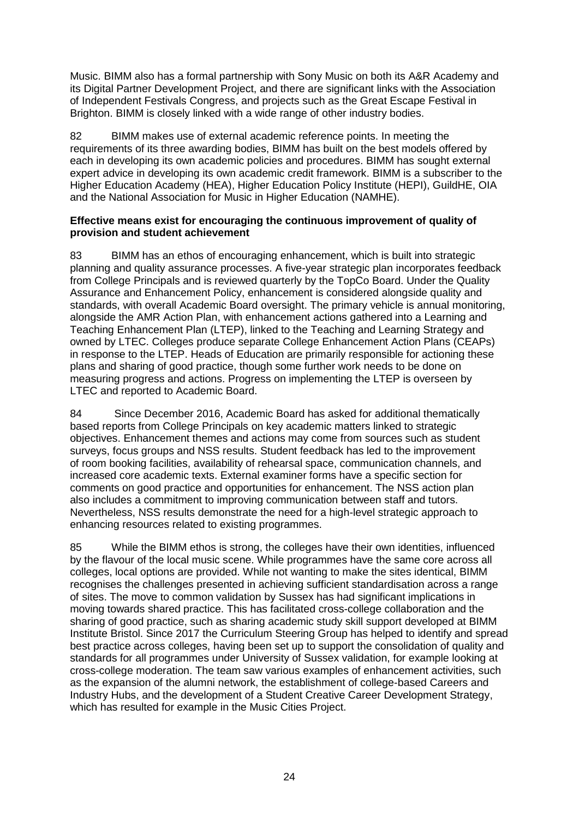Music. BIMM also has a formal partnership with Sony Music on both its A&R Academy and its Digital Partner Development Project, and there are significant links with the Association of Independent Festivals Congress, and projects such as the Great Escape Festival in Brighton. BIMM is closely linked with a wide range of other industry bodies.

82 BIMM makes use of external academic reference points. In meeting the requirements of its three awarding bodies, BIMM has built on the best models offered by each in developing its own academic policies and procedures. BIMM has sought external expert advice in developing its own academic credit framework. BIMM is a subscriber to the Higher Education Academy (HEA), Higher Education Policy Institute (HEPI), GuildHE, OIA and the National Association for Music in Higher Education (NAMHE).

#### **Effective means exist for encouraging the continuous improvement of quality of provision and student achievement**

83 BIMM has an ethos of encouraging enhancement, which is built into strategic planning and quality assurance processes. A five-year strategic plan incorporates feedback from College Principals and is reviewed quarterly by the TopCo Board. Under the Quality Assurance and Enhancement Policy, enhancement is considered alongside quality and standards, with overall Academic Board oversight. The primary vehicle is annual monitoring, alongside the AMR Action Plan, with enhancement actions gathered into a Learning and Teaching Enhancement Plan (LTEP), linked to the Teaching and Learning Strategy and owned by LTEC. Colleges produce separate College Enhancement Action Plans (CEAPs) in response to the LTEP. Heads of Education are primarily responsible for actioning these plans and sharing of good practice, though some further work needs to be done on measuring progress and actions. Progress on implementing the LTEP is overseen by LTEC and reported to Academic Board.

84 Since December 2016, Academic Board has asked for additional thematically based reports from College Principals on key academic matters linked to strategic objectives. Enhancement themes and actions may come from sources such as student surveys, focus groups and NSS results. Student feedback has led to the improvement of room booking facilities, availability of rehearsal space, communication channels, and increased core academic texts. External examiner forms have a specific section for comments on good practice and opportunities for enhancement. The NSS action plan also includes a commitment to improving communication between staff and tutors. Nevertheless, NSS results demonstrate the need for a high-level strategic approach to enhancing resources related to existing programmes.

85 While the BIMM ethos is strong, the colleges have their own identities, influenced by the flavour of the local music scene. While programmes have the same core across all colleges, local options are provided. While not wanting to make the sites identical, BIMM recognises the challenges presented in achieving sufficient standardisation across a range of sites. The move to common validation by Sussex has had significant implications in moving towards shared practice. This has facilitated cross-college collaboration and the sharing of good practice, such as sharing academic study skill support developed at BIMM Institute Bristol. Since 2017 the Curriculum Steering Group has helped to identify and spread best practice across colleges, having been set up to support the consolidation of quality and standards for all programmes under University of Sussex validation, for example looking at cross-college moderation. The team saw various examples of enhancement activities, such as the expansion of the alumni network, the establishment of college-based Careers and Industry Hubs, and the development of a Student Creative Career Development Strategy, which has resulted for example in the Music Cities Project.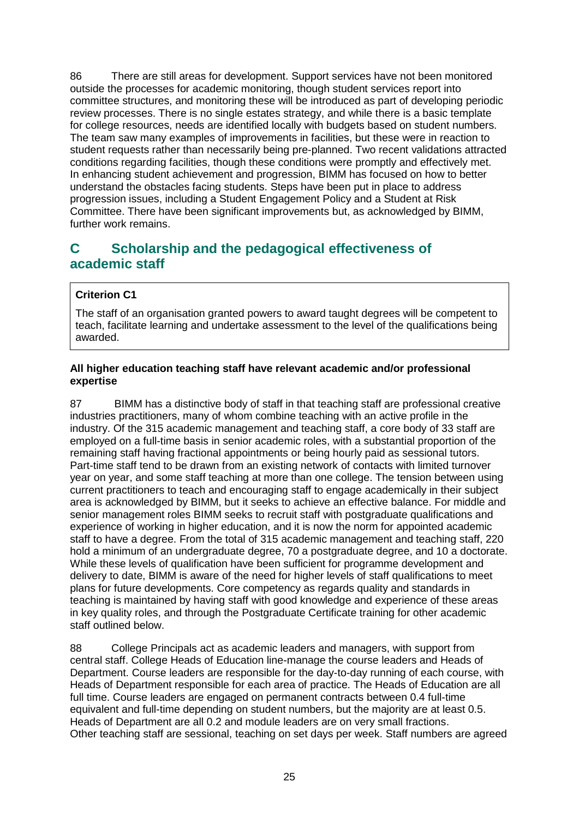86 There are still areas for development. Support services have not been monitored outside the processes for academic monitoring, though student services report into committee structures, and monitoring these will be introduced as part of developing periodic review processes. There is no single estates strategy, and while there is a basic template for college resources, needs are identified locally with budgets based on student numbers. The team saw many examples of improvements in facilities, but these were in reaction to student requests rather than necessarily being pre-planned. Two recent validations attracted conditions regarding facilities, though these conditions were promptly and effectively met. In enhancing student achievement and progression, BIMM has focused on how to better understand the obstacles facing students. Steps have been put in place to address progression issues, including a Student Engagement Policy and a Student at Risk Committee. There have been significant improvements but, as acknowledged by BIMM, further work remains.

# <span id="page-25-0"></span>**C Scholarship and the pedagogical effectiveness of academic staff**

#### **Criterion C1**

The staff of an organisation granted powers to award taught degrees will be competent to teach, facilitate learning and undertake assessment to the level of the qualifications being awarded.

#### **All higher education teaching staff have relevant academic and/or professional expertise**

87 BIMM has a distinctive body of staff in that teaching staff are professional creative industries practitioners, many of whom combine teaching with an active profile in the industry. Of the 315 academic management and teaching staff, a core body of 33 staff are employed on a full-time basis in senior academic roles, with a substantial proportion of the remaining staff having fractional appointments or being hourly paid as sessional tutors. Part-time staff tend to be drawn from an existing network of contacts with limited turnover year on year, and some staff teaching at more than one college. The tension between using current practitioners to teach and encouraging staff to engage academically in their subject area is acknowledged by BIMM, but it seeks to achieve an effective balance. For middle and senior management roles BIMM seeks to recruit staff with postgraduate qualifications and experience of working in higher education, and it is now the norm for appointed academic staff to have a degree. From the total of 315 academic management and teaching staff, 220 hold a minimum of an undergraduate degree, 70 a postgraduate degree, and 10 a doctorate. While these levels of qualification have been sufficient for programme development and delivery to date, BIMM is aware of the need for higher levels of staff qualifications to meet plans for future developments. Core competency as regards quality and standards in teaching is maintained by having staff with good knowledge and experience of these areas in key quality roles, and through the Postgraduate Certificate training for other academic staff outlined below.

88 College Principals act as academic leaders and managers, with support from central staff. College Heads of Education line-manage the course leaders and Heads of Department. Course leaders are responsible for the day-to-day running of each course, with Heads of Department responsible for each area of practice. The Heads of Education are all full time. Course leaders are engaged on permanent contracts between 0.4 full-time equivalent and full-time depending on student numbers, but the majority are at least 0.5. Heads of Department are all 0.2 and module leaders are on very small fractions. Other teaching staff are sessional, teaching on set days per week. Staff numbers are agreed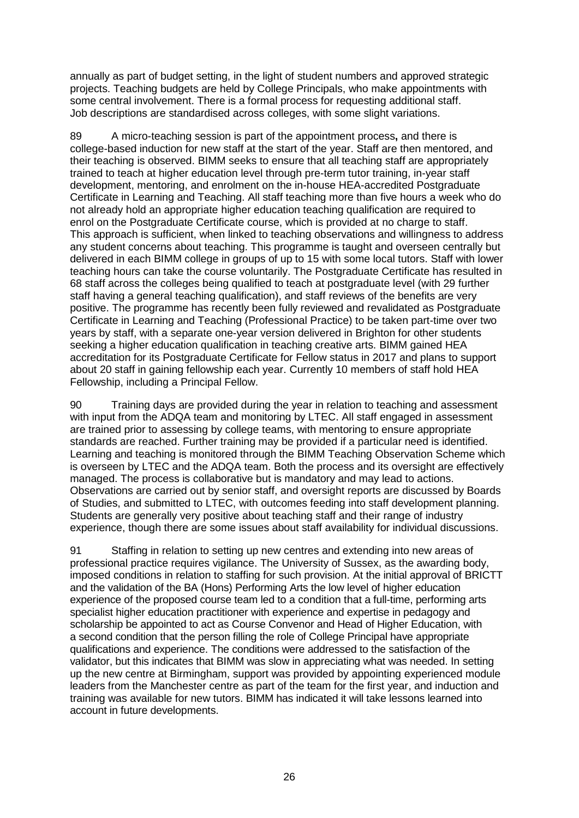annually as part of budget setting, in the light of student numbers and approved strategic projects. Teaching budgets are held by College Principals, who make appointments with some central involvement. There is a formal process for requesting additional staff. Job descriptions are standardised across colleges, with some slight variations.

89 A micro-teaching session is part of the appointment process**,** and there is college-based induction for new staff at the start of the year. Staff are then mentored, and their teaching is observed. BIMM seeks to ensure that all teaching staff are appropriately trained to teach at higher education level through pre-term tutor training, in-year staff development, mentoring, and enrolment on the in-house HEA-accredited Postgraduate Certificate in Learning and Teaching. All staff teaching more than five hours a week who do not already hold an appropriate higher education teaching qualification are required to enrol on the Postgraduate Certificate course, which is provided at no charge to staff. This approach is sufficient, when linked to teaching observations and willingness to address any student concerns about teaching. This programme is taught and overseen centrally but delivered in each BIMM college in groups of up to 15 with some local tutors. Staff with lower teaching hours can take the course voluntarily. The Postgraduate Certificate has resulted in 68 staff across the colleges being qualified to teach at postgraduate level (with 29 further staff having a general teaching qualification), and staff reviews of the benefits are very positive. The programme has recently been fully reviewed and revalidated as Postgraduate Certificate in Learning and Teaching (Professional Practice) to be taken part-time over two years by staff, with a separate one-year version delivered in Brighton for other students seeking a higher education qualification in teaching creative arts. BIMM gained HEA accreditation for its Postgraduate Certificate for Fellow status in 2017 and plans to support about 20 staff in gaining fellowship each year. Currently 10 members of staff hold HEA Fellowship, including a Principal Fellow.

90 Training days are provided during the year in relation to teaching and assessment with input from the ADQA team and monitoring by LTEC. All staff engaged in assessment are trained prior to assessing by college teams, with mentoring to ensure appropriate standards are reached. Further training may be provided if a particular need is identified. Learning and teaching is monitored through the BIMM Teaching Observation Scheme which is overseen by LTEC and the ADQA team. Both the process and its oversight are effectively managed. The process is collaborative but is mandatory and may lead to actions. Observations are carried out by senior staff, and oversight reports are discussed by Boards of Studies, and submitted to LTEC, with outcomes feeding into staff development planning. Students are generally very positive about teaching staff and their range of industry experience, though there are some issues about staff availability for individual discussions.

91 Staffing in relation to setting up new centres and extending into new areas of professional practice requires vigilance. The University of Sussex, as the awarding body, imposed conditions in relation to staffing for such provision. At the initial approval of BRICTT and the validation of the BA (Hons) Performing Arts the low level of higher education experience of the proposed course team led to a condition that a full-time, performing arts specialist higher education practitioner with experience and expertise in pedagogy and scholarship be appointed to act as Course Convenor and Head of Higher Education, with a second condition that the person filling the role of College Principal have appropriate qualifications and experience. The conditions were addressed to the satisfaction of the validator, but this indicates that BIMM was slow in appreciating what was needed. In setting up the new centre at Birmingham, support was provided by appointing experienced module leaders from the Manchester centre as part of the team for the first year, and induction and training was available for new tutors. BIMM has indicated it will take lessons learned into account in future developments.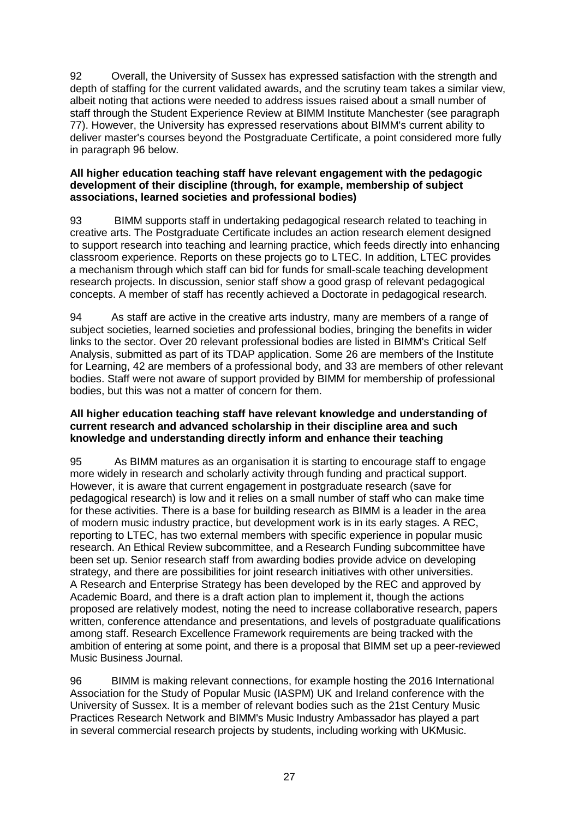92 Overall, the University of Sussex has expressed satisfaction with the strength and depth of staffing for the current validated awards, and the scrutiny team takes a similar view, albeit noting that actions were needed to address issues raised about a small number of staff through the Student Experience Review at BIMM Institute Manchester (see paragraph 77). However, the University has expressed reservations about BIMM's current ability to deliver master's courses beyond the Postgraduate Certificate, a point considered more fully in paragraph 96 below.

#### **All higher education teaching staff have relevant engagement with the pedagogic development of their discipline (through, for example, membership of subject associations, learned societies and professional bodies)**

93 BIMM supports staff in undertaking pedagogical research related to teaching in creative arts. The Postgraduate Certificate includes an action research element designed to support research into teaching and learning practice, which feeds directly into enhancing classroom experience. Reports on these projects go to LTEC. In addition, LTEC provides a mechanism through which staff can bid for funds for small-scale teaching development research projects. In discussion, senior staff show a good grasp of relevant pedagogical concepts. A member of staff has recently achieved a Doctorate in pedagogical research.

94 As staff are active in the creative arts industry, many are members of a range of subject societies, learned societies and professional bodies, bringing the benefits in wider links to the sector. Over 20 relevant professional bodies are listed in BIMM's Critical Self Analysis, submitted as part of its TDAP application. Some 26 are members of the Institute for Learning, 42 are members of a professional body, and 33 are members of other relevant bodies. Staff were not aware of support provided by BIMM for membership of professional bodies, but this was not a matter of concern for them.

#### **All higher education teaching staff have relevant knowledge and understanding of current research and advanced scholarship in their discipline area and such knowledge and understanding directly inform and enhance their teaching**

95 As BIMM matures as an organisation it is starting to encourage staff to engage more widely in research and scholarly activity through funding and practical support. However, it is aware that current engagement in postgraduate research (save for pedagogical research) is low and it relies on a small number of staff who can make time for these activities. There is a base for building research as BIMM is a leader in the area of modern music industry practice, but development work is in its early stages. A REC, reporting to LTEC, has two external members with specific experience in popular music research. An Ethical Review subcommittee, and a Research Funding subcommittee have been set up. Senior research staff from awarding bodies provide advice on developing strategy, and there are possibilities for joint research initiatives with other universities. A Research and Enterprise Strategy has been developed by the REC and approved by Academic Board, and there is a draft action plan to implement it, though the actions proposed are relatively modest, noting the need to increase collaborative research, papers written, conference attendance and presentations, and levels of postgraduate qualifications among staff. Research Excellence Framework requirements are being tracked with the ambition of entering at some point, and there is a proposal that BIMM set up a peer-reviewed Music Business Journal.

96 BIMM is making relevant connections, for example hosting the 2016 International Association for the Study of Popular Music (IASPM) UK and Ireland conference with the University of Sussex. It is a member of relevant bodies such as the 21st Century Music Practices Research Network and BIMM's Music Industry Ambassador has played a part in several commercial research projects by students, including working with UKMusic.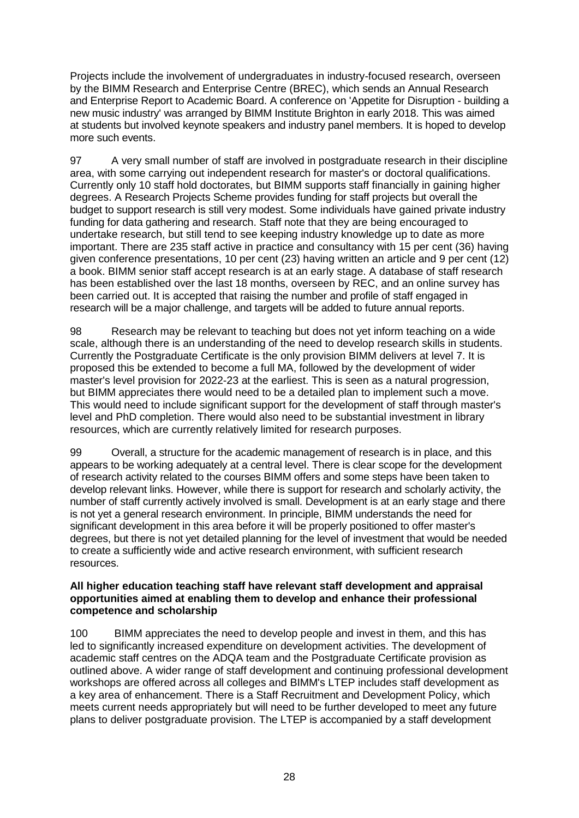Projects include the involvement of undergraduates in industry-focused research, overseen by the BIMM Research and Enterprise Centre (BREC), which sends an Annual Research and Enterprise Report to Academic Board. A conference on 'Appetite for Disruption - building a new music industry' was arranged by BIMM Institute Brighton in early 2018. This was aimed at students but involved keynote speakers and industry panel members. It is hoped to develop more such events.

97 A very small number of staff are involved in postgraduate research in their discipline area, with some carrying out independent research for master's or doctoral qualifications. Currently only 10 staff hold doctorates, but BIMM supports staff financially in gaining higher degrees. A Research Projects Scheme provides funding for staff projects but overall the budget to support research is still very modest. Some individuals have gained private industry funding for data gathering and research. Staff note that they are being encouraged to undertake research, but still tend to see keeping industry knowledge up to date as more important. There are 235 staff active in practice and consultancy with 15 per cent (36) having given conference presentations, 10 per cent (23) having written an article and 9 per cent (12) a book. BIMM senior staff accept research is at an early stage. A database of staff research has been established over the last 18 months, overseen by REC, and an online survey has been carried out. It is accepted that raising the number and profile of staff engaged in research will be a major challenge, and targets will be added to future annual reports.

98 Research may be relevant to teaching but does not yet inform teaching on a wide scale, although there is an understanding of the need to develop research skills in students. Currently the Postgraduate Certificate is the only provision BIMM delivers at level 7. It is proposed this be extended to become a full MA, followed by the development of wider master's level provision for 2022-23 at the earliest. This is seen as a natural progression, but BIMM appreciates there would need to be a detailed plan to implement such a move. This would need to include significant support for the development of staff through master's level and PhD completion. There would also need to be substantial investment in library resources, which are currently relatively limited for research purposes.

99 Overall, a structure for the academic management of research is in place, and this appears to be working adequately at a central level. There is clear scope for the development of research activity related to the courses BIMM offers and some steps have been taken to develop relevant links. However, while there is support for research and scholarly activity, the number of staff currently actively involved is small. Development is at an early stage and there is not yet a general research environment. In principle, BIMM understands the need for significant development in this area before it will be properly positioned to offer master's degrees, but there is not yet detailed planning for the level of investment that would be needed to create a sufficiently wide and active research environment, with sufficient research resources.

#### **All higher education teaching staff have relevant staff development and appraisal opportunities aimed at enabling them to develop and enhance their professional competence and scholarship**

100 BIMM appreciates the need to develop people and invest in them, and this has led to significantly increased expenditure on development activities. The development of academic staff centres on the ADQA team and the Postgraduate Certificate provision as outlined above. A wider range of staff development and continuing professional development workshops are offered across all colleges and BIMM's LTEP includes staff development as a key area of enhancement. There is a Staff Recruitment and Development Policy, which meets current needs appropriately but will need to be further developed to meet any future plans to deliver postgraduate provision. The LTEP is accompanied by a staff development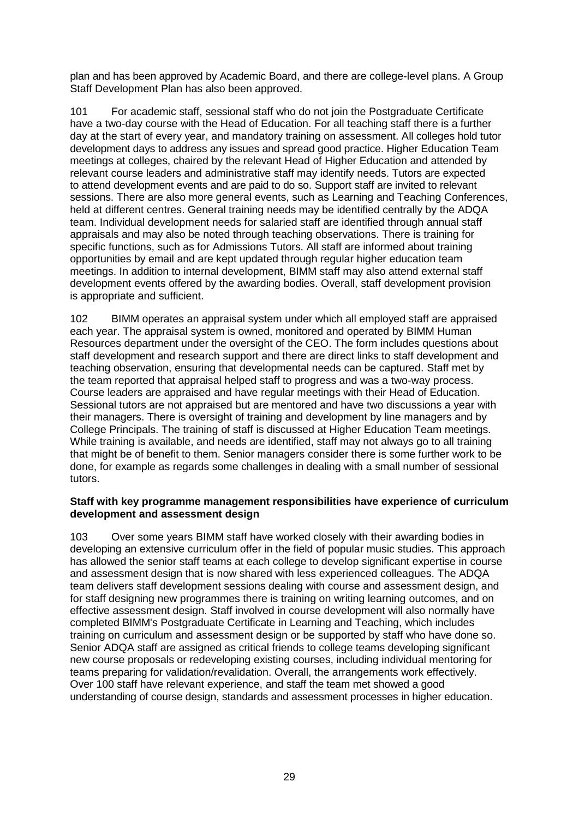plan and has been approved by Academic Board, and there are college-level plans. A Group Staff Development Plan has also been approved.

101 For academic staff, sessional staff who do not join the Postgraduate Certificate have a two-day course with the Head of Education. For all teaching staff there is a further day at the start of every year, and mandatory training on assessment. All colleges hold tutor development days to address any issues and spread good practice. Higher Education Team meetings at colleges, chaired by the relevant Head of Higher Education and attended by relevant course leaders and administrative staff may identify needs. Tutors are expected to attend development events and are paid to do so. Support staff are invited to relevant sessions. There are also more general events, such as Learning and Teaching Conferences, held at different centres. General training needs may be identified centrally by the ADQA team. Individual development needs for salaried staff are identified through annual staff appraisals and may also be noted through teaching observations. There is training for specific functions, such as for Admissions Tutors. All staff are informed about training opportunities by email and are kept updated through regular higher education team meetings. In addition to internal development, BIMM staff may also attend external staff development events offered by the awarding bodies. Overall, staff development provision is appropriate and sufficient.

102 BIMM operates an appraisal system under which all employed staff are appraised each year. The appraisal system is owned, monitored and operated by BIMM Human Resources department under the oversight of the CEO. The form includes questions about staff development and research support and there are direct links to staff development and teaching observation, ensuring that developmental needs can be captured. Staff met by the team reported that appraisal helped staff to progress and was a two-way process. Course leaders are appraised and have regular meetings with their Head of Education. Sessional tutors are not appraised but are mentored and have two discussions a year with their managers. There is oversight of training and development by line managers and by College Principals. The training of staff is discussed at Higher Education Team meetings. While training is available, and needs are identified, staff may not always go to all training that might be of benefit to them. Senior managers consider there is some further work to be done, for example as regards some challenges in dealing with a small number of sessional tutors.

#### **Staff with key programme management responsibilities have experience of curriculum development and assessment design**

103 Over some years BIMM staff have worked closely with their awarding bodies in developing an extensive curriculum offer in the field of popular music studies. This approach has allowed the senior staff teams at each college to develop significant expertise in course and assessment design that is now shared with less experienced colleagues. The ADQA team delivers staff development sessions dealing with course and assessment design, and for staff designing new programmes there is training on writing learning outcomes, and on effective assessment design. Staff involved in course development will also normally have completed BIMM's Postgraduate Certificate in Learning and Teaching, which includes training on curriculum and assessment design or be supported by staff who have done so. Senior ADQA staff are assigned as critical friends to college teams developing significant new course proposals or redeveloping existing courses, including individual mentoring for teams preparing for validation/revalidation. Overall, the arrangements work effectively. Over 100 staff have relevant experience, and staff the team met showed a good understanding of course design, standards and assessment processes in higher education.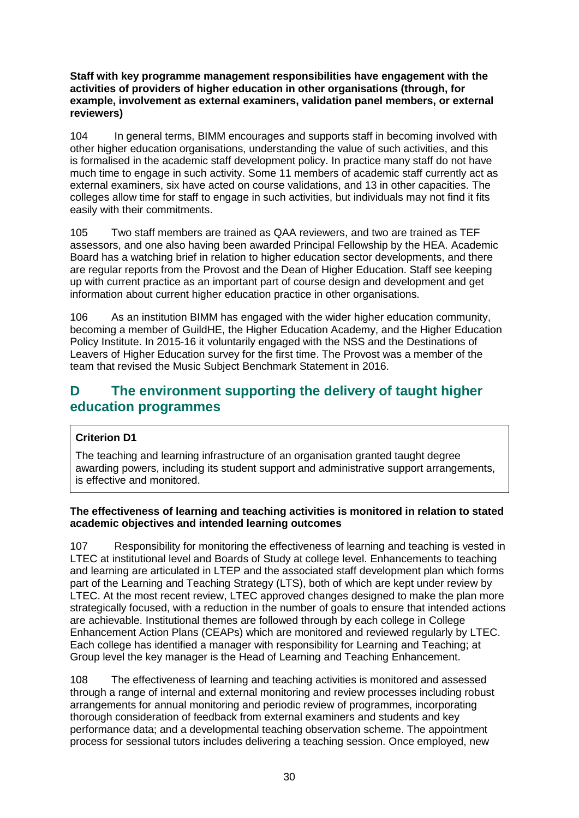#### **Staff with key programme management responsibilities have engagement with the activities of providers of higher education in other organisations (through, for example, involvement as external examiners, validation panel members, or external reviewers)**

104 In general terms, BIMM encourages and supports staff in becoming involved with other higher education organisations, understanding the value of such activities, and this is formalised in the academic staff development policy. In practice many staff do not have much time to engage in such activity. Some 11 members of academic staff currently act as external examiners, six have acted on course validations, and 13 in other capacities. The colleges allow time for staff to engage in such activities, but individuals may not find it fits easily with their commitments.

105 Two staff members are trained as QAA reviewers, and two are trained as TEF assessors, and one also having been awarded Principal Fellowship by the HEA. Academic Board has a watching brief in relation to higher education sector developments, and there are regular reports from the Provost and the Dean of Higher Education. Staff see keeping up with current practice as an important part of course design and development and get information about current higher education practice in other organisations.

106 As an institution BIMM has engaged with the wider higher education community, becoming a member of GuildHE, the Higher Education Academy, and the Higher Education Policy Institute. In 2015-16 it voluntarily engaged with the NSS and the Destinations of Leavers of Higher Education survey for the first time. The Provost was a member of the team that revised the Music Subject Benchmark Statement in 2016.

# <span id="page-30-0"></span>**D The environment supporting the delivery of taught higher education programmes**

### **Criterion D1**

The teaching and learning infrastructure of an organisation granted taught degree awarding powers, including its student support and administrative support arrangements, is effective and monitored.

#### **The effectiveness of learning and teaching activities is monitored in relation to stated academic objectives and intended learning outcomes**

107 Responsibility for monitoring the effectiveness of learning and teaching is vested in LTEC at institutional level and Boards of Study at college level. Enhancements to teaching and learning are articulated in LTEP and the associated staff development plan which forms part of the Learning and Teaching Strategy (LTS), both of which are kept under review by LTEC. At the most recent review, LTEC approved changes designed to make the plan more strategically focused, with a reduction in the number of goals to ensure that intended actions are achievable. Institutional themes are followed through by each college in College Enhancement Action Plans (CEAPs) which are monitored and reviewed regularly by LTEC. Each college has identified a manager with responsibility for Learning and Teaching; at Group level the key manager is the Head of Learning and Teaching Enhancement.

108 The effectiveness of learning and teaching activities is monitored and assessed through a range of internal and external monitoring and review processes including robust arrangements for annual monitoring and periodic review of programmes, incorporating thorough consideration of feedback from external examiners and students and key performance data; and a developmental teaching observation scheme. The appointment process for sessional tutors includes delivering a teaching session. Once employed, new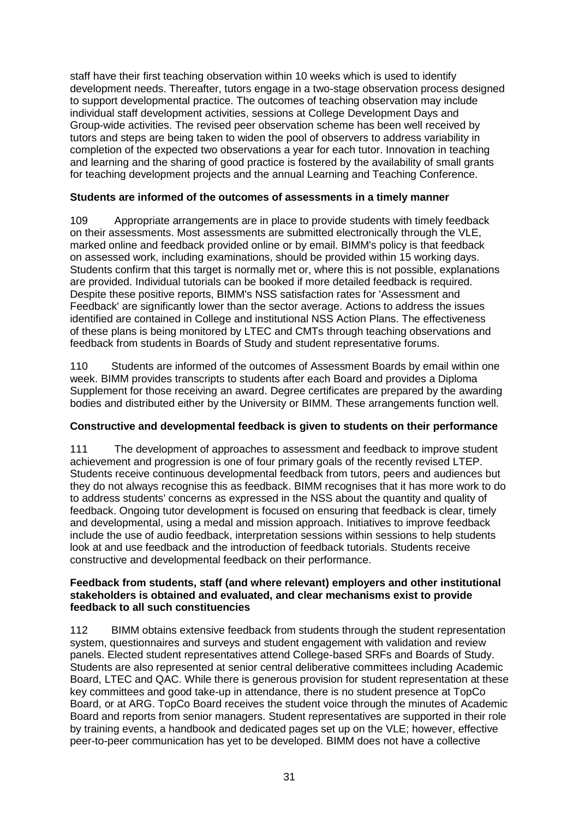staff have their first teaching observation within 10 weeks which is used to identify development needs. Thereafter, tutors engage in a two-stage observation process designed to support developmental practice. The outcomes of teaching observation may include individual staff development activities, sessions at College Development Days and Group-wide activities. The revised peer observation scheme has been well received by tutors and steps are being taken to widen the pool of observers to address variability in completion of the expected two observations a year for each tutor. Innovation in teaching and learning and the sharing of good practice is fostered by the availability of small grants for teaching development projects and the annual Learning and Teaching Conference.

#### **Students are informed of the outcomes of assessments in a timely manner**

109 Appropriate arrangements are in place to provide students with timely feedback on their assessments. Most assessments are submitted electronically through the VLE, marked online and feedback provided online or by email. BIMM's policy is that feedback on assessed work, including examinations, should be provided within 15 working days. Students confirm that this target is normally met or, where this is not possible, explanations are provided. Individual tutorials can be booked if more detailed feedback is required. Despite these positive reports, BIMM's NSS satisfaction rates for 'Assessment and Feedback' are significantly lower than the sector average. Actions to address the issues identified are contained in College and institutional NSS Action Plans. The effectiveness of these plans is being monitored by LTEC and CMTs through teaching observations and feedback from students in Boards of Study and student representative forums.

110 Students are informed of the outcomes of Assessment Boards by email within one week. BIMM provides transcripts to students after each Board and provides a Diploma Supplement for those receiving an award. Degree certificates are prepared by the awarding bodies and distributed either by the University or BIMM. These arrangements function well.

#### **Constructive and developmental feedback is given to students on their performance**

111 The development of approaches to assessment and feedback to improve student achievement and progression is one of four primary goals of the recently revised LTEP. Students receive continuous developmental feedback from tutors, peers and audiences but they do not always recognise this as feedback. BIMM recognises that it has more work to do to address students' concerns as expressed in the NSS about the quantity and quality of feedback. Ongoing tutor development is focused on ensuring that feedback is clear, timely and developmental, using a medal and mission approach. Initiatives to improve feedback include the use of audio feedback, interpretation sessions within sessions to help students look at and use feedback and the introduction of feedback tutorials. Students receive constructive and developmental feedback on their performance.

#### **Feedback from students, staff (and where relevant) employers and other institutional stakeholders is obtained and evaluated, and clear mechanisms exist to provide feedback to all such constituencies**

112 BIMM obtains extensive feedback from students through the student representation system, questionnaires and surveys and student engagement with validation and review panels. Elected student representatives attend College-based SRFs and Boards of Study. Students are also represented at senior central deliberative committees including Academic Board, LTEC and QAC. While there is generous provision for student representation at these key committees and good take-up in attendance, there is no student presence at TopCo Board, or at ARG. TopCo Board receives the student voice through the minutes of Academic Board and reports from senior managers. Student representatives are supported in their role by training events, a handbook and dedicated pages set up on the VLE; however, effective peer-to-peer communication has yet to be developed. BIMM does not have a collective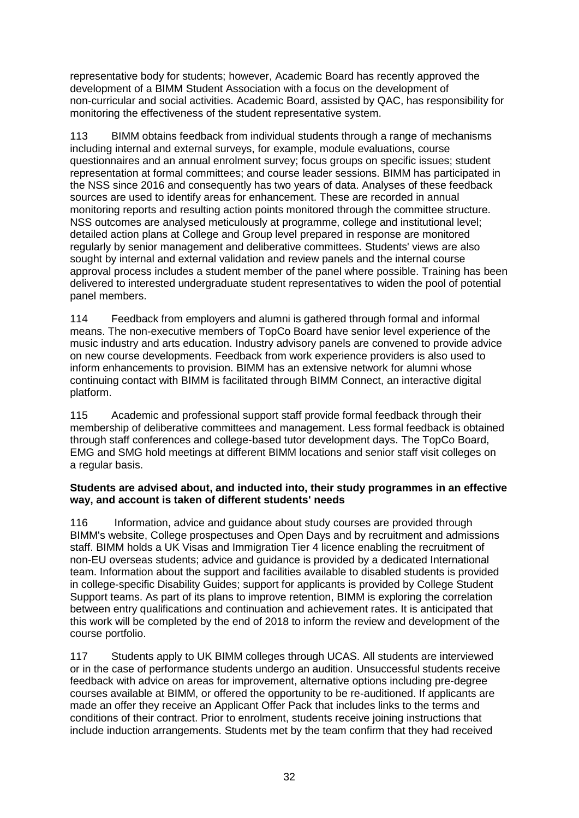representative body for students; however, Academic Board has recently approved the development of a BIMM Student Association with a focus on the development of non-curricular and social activities. Academic Board, assisted by QAC, has responsibility for monitoring the effectiveness of the student representative system.

113 BIMM obtains feedback from individual students through a range of mechanisms including internal and external surveys, for example, module evaluations, course questionnaires and an annual enrolment survey; focus groups on specific issues; student representation at formal committees; and course leader sessions. BIMM has participated in the NSS since 2016 and consequently has two years of data. Analyses of these feedback sources are used to identify areas for enhancement. These are recorded in annual monitoring reports and resulting action points monitored through the committee structure. NSS outcomes are analysed meticulously at programme, college and institutional level; detailed action plans at College and Group level prepared in response are monitored regularly by senior management and deliberative committees. Students' views are also sought by internal and external validation and review panels and the internal course approval process includes a student member of the panel where possible. Training has been delivered to interested undergraduate student representatives to widen the pool of potential panel members.

114 Feedback from employers and alumni is gathered through formal and informal means. The non-executive members of TopCo Board have senior level experience of the music industry and arts education. Industry advisory panels are convened to provide advice on new course developments. Feedback from work experience providers is also used to inform enhancements to provision. BIMM has an extensive network for alumni whose continuing contact with BIMM is facilitated through BIMM Connect, an interactive digital platform.

115 Academic and professional support staff provide formal feedback through their membership of deliberative committees and management. Less formal feedback is obtained through staff conferences and college-based tutor development days. The TopCo Board, EMG and SMG hold meetings at different BIMM locations and senior staff visit colleges on a regular basis.

#### **Students are advised about, and inducted into, their study programmes in an effective way, and account is taken of different students' needs**

116 Information, advice and guidance about study courses are provided through BIMM's website, College prospectuses and Open Days and by recruitment and admissions staff. BIMM holds a UK Visas and Immigration Tier 4 licence enabling the recruitment of non-EU overseas students; advice and guidance is provided by a dedicated International team. Information about the support and facilities available to disabled students is provided in college-specific Disability Guides; support for applicants is provided by College Student Support teams. As part of its plans to improve retention, BIMM is exploring the correlation between entry qualifications and continuation and achievement rates. It is anticipated that this work will be completed by the end of 2018 to inform the review and development of the course portfolio.

117 Students apply to UK BIMM colleges through UCAS. All students are interviewed or in the case of performance students undergo an audition. Unsuccessful students receive feedback with advice on areas for improvement, alternative options including pre-degree courses available at BIMM, or offered the opportunity to be re-auditioned. If applicants are made an offer they receive an Applicant Offer Pack that includes links to the terms and conditions of their contract. Prior to enrolment, students receive joining instructions that include induction arrangements. Students met by the team confirm that they had received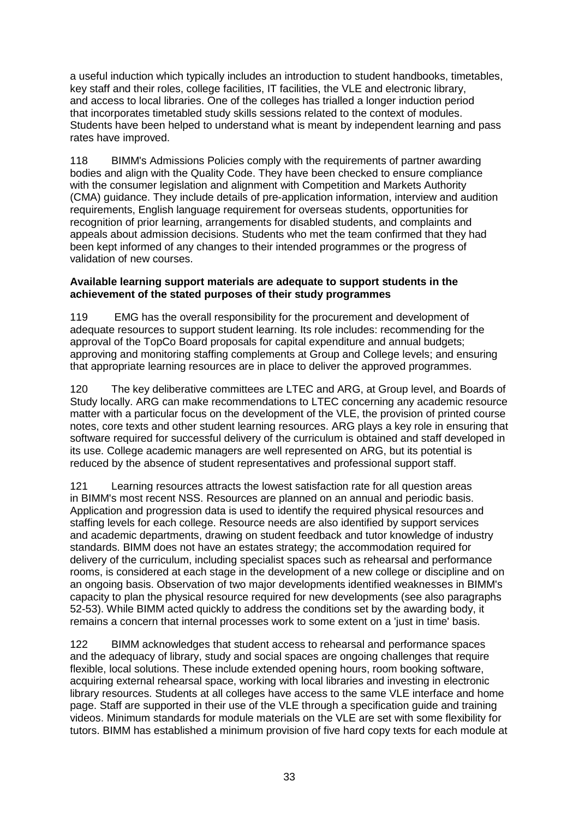a useful induction which typically includes an introduction to student handbooks, timetables, key staff and their roles, college facilities, IT facilities, the VLE and electronic library, and access to local libraries. One of the colleges has trialled a longer induction period that incorporates timetabled study skills sessions related to the context of modules. Students have been helped to understand what is meant by independent learning and pass rates have improved.

118 BIMM's Admissions Policies comply with the requirements of partner awarding bodies and align with the Quality Code. They have been checked to ensure compliance with the consumer legislation and alignment with Competition and Markets Authority (CMA) guidance. They include details of pre-application information, interview and audition requirements, English language requirement for overseas students, opportunities for recognition of prior learning, arrangements for disabled students, and complaints and appeals about admission decisions. Students who met the team confirmed that they had been kept informed of any changes to their intended programmes or the progress of validation of new courses.

#### **Available learning support materials are adequate to support students in the achievement of the stated purposes of their study programmes**

119 EMG has the overall responsibility for the procurement and development of adequate resources to support student learning. Its role includes: recommending for the approval of the TopCo Board proposals for capital expenditure and annual budgets; approving and monitoring staffing complements at Group and College levels; and ensuring that appropriate learning resources are in place to deliver the approved programmes.

120 The key deliberative committees are LTEC and ARG, at Group level, and Boards of Study locally. ARG can make recommendations to LTEC concerning any academic resource matter with a particular focus on the development of the VLE, the provision of printed course notes, core texts and other student learning resources. ARG plays a key role in ensuring that software required for successful delivery of the curriculum is obtained and staff developed in its use. College academic managers are well represented on ARG, but its potential is reduced by the absence of student representatives and professional support staff.

121 Learning resources attracts the lowest satisfaction rate for all question areas in BIMM's most recent NSS. Resources are planned on an annual and periodic basis. Application and progression data is used to identify the required physical resources and staffing levels for each college. Resource needs are also identified by support services and academic departments, drawing on student feedback and tutor knowledge of industry standards. BIMM does not have an estates strategy; the accommodation required for delivery of the curriculum, including specialist spaces such as rehearsal and performance rooms, is considered at each stage in the development of a new college or discipline and on an ongoing basis. Observation of two major developments identified weaknesses in BIMM's capacity to plan the physical resource required for new developments (see also paragraphs 52-53). While BIMM acted quickly to address the conditions set by the awarding body, it remains a concern that internal processes work to some extent on a 'just in time' basis.

122 BIMM acknowledges that student access to rehearsal and performance spaces and the adequacy of library, study and social spaces are ongoing challenges that require flexible, local solutions. These include extended opening hours, room booking software, acquiring external rehearsal space, working with local libraries and investing in electronic library resources. Students at all colleges have access to the same VLE interface and home page. Staff are supported in their use of the VLE through a specification guide and training videos. Minimum standards for module materials on the VLE are set with some flexibility for tutors. BIMM has established a minimum provision of five hard copy texts for each module at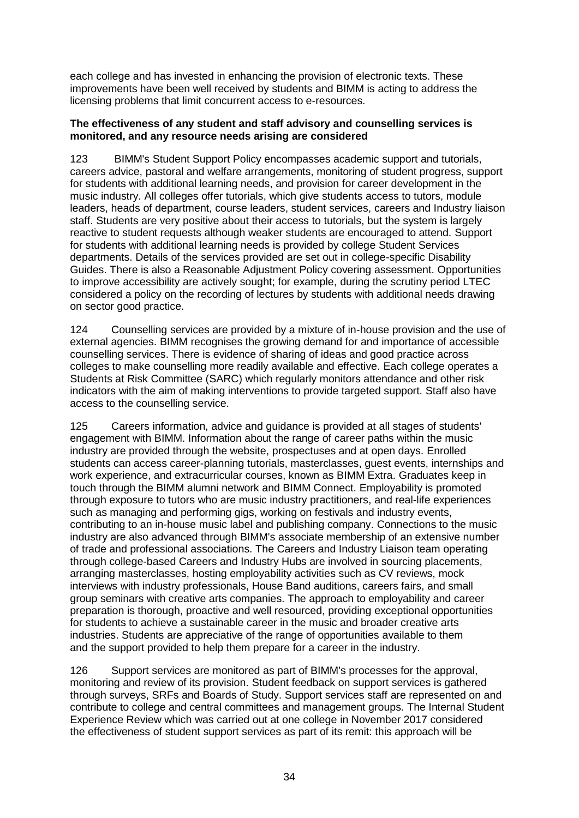each college and has invested in enhancing the provision of electronic texts. These improvements have been well received by students and BIMM is acting to address the licensing problems that limit concurrent access to e-resources.

#### **The effectiveness of any student and staff advisory and counselling services is monitored, and any resource needs arising are considered**

123 BIMM's Student Support Policy encompasses academic support and tutorials, careers advice, pastoral and welfare arrangements, monitoring of student progress, support for students with additional learning needs, and provision for career development in the music industry. All colleges offer tutorials, which give students access to tutors, module leaders, heads of department, course leaders, student services, careers and Industry liaison staff. Students are very positive about their access to tutorials, but the system is largely reactive to student requests although weaker students are encouraged to attend. Support for students with additional learning needs is provided by college Student Services departments. Details of the services provided are set out in college-specific Disability Guides. There is also a Reasonable Adjustment Policy covering assessment. Opportunities to improve accessibility are actively sought; for example, during the scrutiny period LTEC considered a policy on the recording of lectures by students with additional needs drawing on sector good practice.

124 Counselling services are provided by a mixture of in-house provision and the use of external agencies. BIMM recognises the growing demand for and importance of accessible counselling services. There is evidence of sharing of ideas and good practice across colleges to make counselling more readily available and effective. Each college operates a Students at Risk Committee (SARC) which regularly monitors attendance and other risk indicators with the aim of making interventions to provide targeted support. Staff also have access to the counselling service.

125 Careers information, advice and guidance is provided at all stages of students' engagement with BIMM. Information about the range of career paths within the music industry are provided through the website, prospectuses and at open days. Enrolled students can access career-planning tutorials, masterclasses, guest events, internships and work experience, and extracurricular courses, known as BIMM Extra. Graduates keep in touch through the BIMM alumni network and BIMM Connect. Employability is promoted through exposure to tutors who are music industry practitioners, and real-life experiences such as managing and performing gigs, working on festivals and industry events, contributing to an in-house music label and publishing company. Connections to the music industry are also advanced through BIMM's associate membership of an extensive number of trade and professional associations. The Careers and Industry Liaison team operating through college-based Careers and Industry Hubs are involved in sourcing placements, arranging masterclasses, hosting employability activities such as CV reviews, mock interviews with industry professionals, House Band auditions, careers fairs, and small group seminars with creative arts companies. The approach to employability and career preparation is thorough, proactive and well resourced, providing exceptional opportunities for students to achieve a sustainable career in the music and broader creative arts industries. Students are appreciative of the range of opportunities available to them and the support provided to help them prepare for a career in the industry.

126 Support services are monitored as part of BIMM's processes for the approval, monitoring and review of its provision. Student feedback on support services is gathered through surveys, SRFs and Boards of Study. Support services staff are represented on and contribute to college and central committees and management groups. The Internal Student Experience Review which was carried out at one college in November 2017 considered the effectiveness of student support services as part of its remit: this approach will be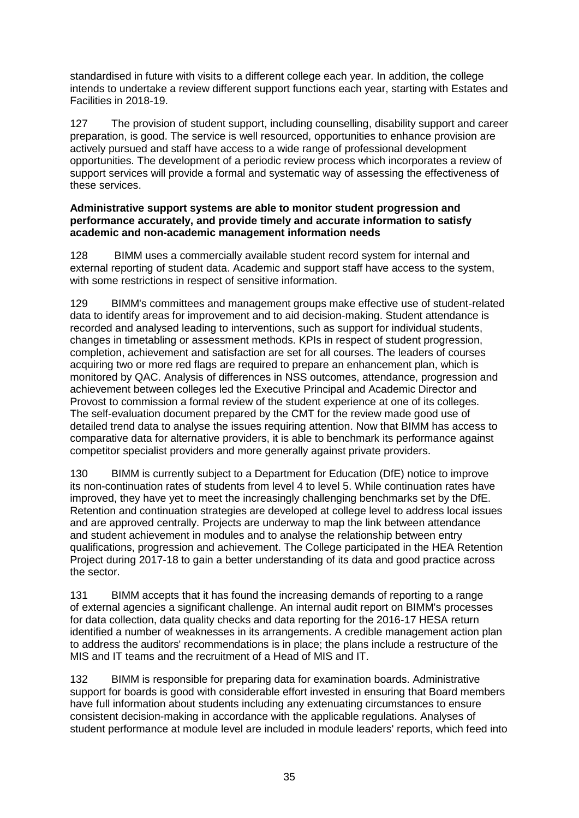standardised in future with visits to a different college each year. In addition, the college intends to undertake a review different support functions each year, starting with Estates and Facilities in 2018-19.

127 The provision of student support, including counselling, disability support and career preparation, is good. The service is well resourced, opportunities to enhance provision are actively pursued and staff have access to a wide range of professional development opportunities. The development of a periodic review process which incorporates a review of support services will provide a formal and systematic way of assessing the effectiveness of these services.

#### **Administrative support systems are able to monitor student progression and performance accurately, and provide timely and accurate information to satisfy academic and non-academic management information needs**

128 BIMM uses a commercially available student record system for internal and external reporting of student data. Academic and support staff have access to the system, with some restrictions in respect of sensitive information.

129 BIMM's committees and management groups make effective use of student-related data to identify areas for improvement and to aid decision-making. Student attendance is recorded and analysed leading to interventions, such as support for individual students, changes in timetabling or assessment methods. KPIs in respect of student progression, completion, achievement and satisfaction are set for all courses. The leaders of courses acquiring two or more red flags are required to prepare an enhancement plan, which is monitored by QAC. Analysis of differences in NSS outcomes, attendance, progression and achievement between colleges led the Executive Principal and Academic Director and Provost to commission a formal review of the student experience at one of its colleges. The self-evaluation document prepared by the CMT for the review made good use of detailed trend data to analyse the issues requiring attention. Now that BIMM has access to comparative data for alternative providers, it is able to benchmark its performance against competitor specialist providers and more generally against private providers.

130 BIMM is currently subject to a Department for Education (DfE) notice to improve its non-continuation rates of students from level 4 to level 5. While continuation rates have improved, they have yet to meet the increasingly challenging benchmarks set by the DfE. Retention and continuation strategies are developed at college level to address local issues and are approved centrally. Projects are underway to map the link between attendance and student achievement in modules and to analyse the relationship between entry qualifications, progression and achievement. The College participated in the HEA Retention Project during 2017-18 to gain a better understanding of its data and good practice across the sector.

131 BIMM accepts that it has found the increasing demands of reporting to a range of external agencies a significant challenge. An internal audit report on BIMM's processes for data collection, data quality checks and data reporting for the 2016-17 HESA return identified a number of weaknesses in its arrangements. A credible management action plan to address the auditors' recommendations is in place; the plans include a restructure of the MIS and IT teams and the recruitment of a Head of MIS and IT.

132 BIMM is responsible for preparing data for examination boards. Administrative support for boards is good with considerable effort invested in ensuring that Board members have full information about students including any extenuating circumstances to ensure consistent decision-making in accordance with the applicable regulations. Analyses of student performance at module level are included in module leaders' reports, which feed into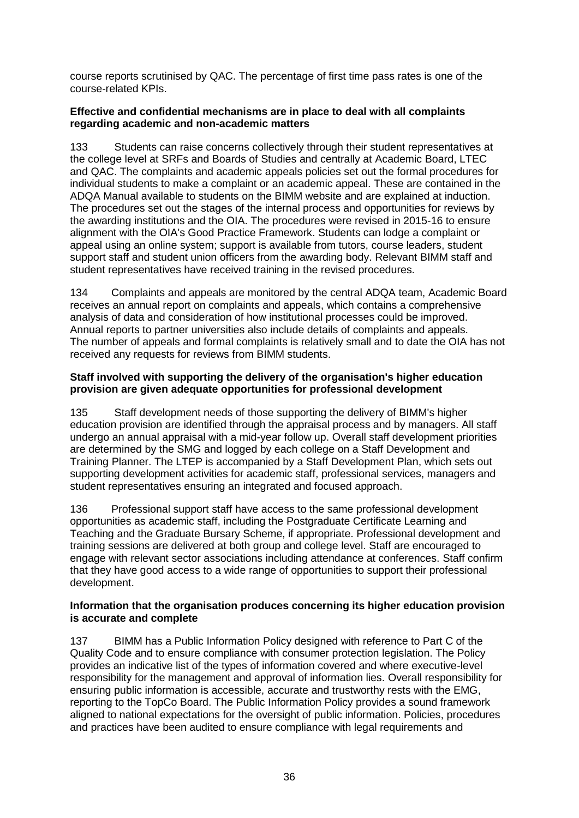course reports scrutinised by QAC. The percentage of first time pass rates is one of the course-related KPIs.

#### **Effective and confidential mechanisms are in place to deal with all complaints regarding academic and non-academic matters**

133 Students can raise concerns collectively through their student representatives at the college level at SRFs and Boards of Studies and centrally at Academic Board, LTEC and QAC. The complaints and academic appeals policies set out the formal procedures for individual students to make a complaint or an academic appeal. These are contained in the ADQA Manual available to students on the BIMM website and are explained at induction. The procedures set out the stages of the internal process and opportunities for reviews by the awarding institutions and the OIA. The procedures were revised in 2015-16 to ensure alignment with the OIA's Good Practice Framework. Students can lodge a complaint or appeal using an online system; support is available from tutors, course leaders, student support staff and student union officers from the awarding body. Relevant BIMM staff and student representatives have received training in the revised procedures.

134 Complaints and appeals are monitored by the central ADQA team, Academic Board receives an annual report on complaints and appeals, which contains a comprehensive analysis of data and consideration of how institutional processes could be improved. Annual reports to partner universities also include details of complaints and appeals. The number of appeals and formal complaints is relatively small and to date the OIA has not received any requests for reviews from BIMM students.

#### **Staff involved with supporting the delivery of the organisation's higher education provision are given adequate opportunities for professional development**

135 Staff development needs of those supporting the delivery of BIMM's higher education provision are identified through the appraisal process and by managers. All staff undergo an annual appraisal with a mid-year follow up. Overall staff development priorities are determined by the SMG and logged by each college on a Staff Development and Training Planner. The LTEP is accompanied by a Staff Development Plan, which sets out supporting development activities for academic staff, professional services, managers and student representatives ensuring an integrated and focused approach.

136 Professional support staff have access to the same professional development opportunities as academic staff, including the Postgraduate Certificate Learning and Teaching and the Graduate Bursary Scheme, if appropriate. Professional development and training sessions are delivered at both group and college level. Staff are encouraged to engage with relevant sector associations including attendance at conferences. Staff confirm that they have good access to a wide range of opportunities to support their professional development.

#### **Information that the organisation produces concerning its higher education provision is accurate and complete**

137 BIMM has a Public Information Policy designed with reference to Part C of the Quality Code and to ensure compliance with consumer protection legislation. The Policy provides an indicative list of the types of information covered and where executive-level responsibility for the management and approval of information lies. Overall responsibility for ensuring public information is accessible, accurate and trustworthy rests with the EMG, reporting to the TopCo Board. The Public Information Policy provides a sound framework aligned to national expectations for the oversight of public information. Policies, procedures and practices have been audited to ensure compliance with legal requirements and